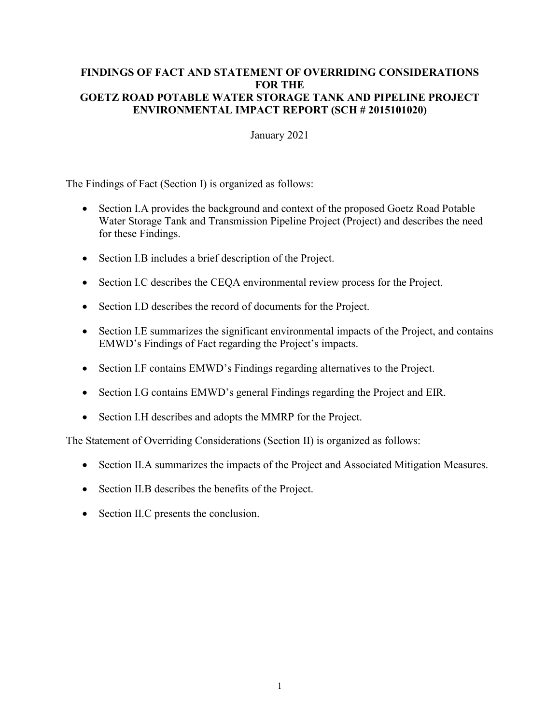#### **FINDINGS OF FACT AND STATEMENT OF OVERRIDING CONSIDERATIONS FOR THE GOETZ ROAD POTABLE WATER STORAGE TANK AND PIPELINE PROJECT ENVIRONMENTAL IMPACT REPORT (SCH # 2015101020)**

#### January 2021

The Findings of Fact (Section I) is organized as follows:

- Section I.A provides the background and context of the proposed Goetz Road Potable Water Storage Tank and Transmission Pipeline Project (Project) and describes the need for these Findings.
- Section I.B includes a brief description of the Project.
- Section I.C describes the CEQA environmental review process for the Project.
- Section I.D describes the record of documents for the Project.
- Section I.E summarizes the significant environmental impacts of the Project, and contains EMWD's Findings of Fact regarding the Project's impacts.
- Section I.F contains EMWD's Findings regarding alternatives to the Project.
- Section I.G contains EMWD's general Findings regarding the Project and EIR.
- Section I.H describes and adopts the MMRP for the Project.

The Statement of Overriding Considerations (Section II) is organized as follows:

- Section II.A summarizes the impacts of the Project and Associated Mitigation Measures.
- Section II.B describes the benefits of the Project.
- Section II.C presents the conclusion.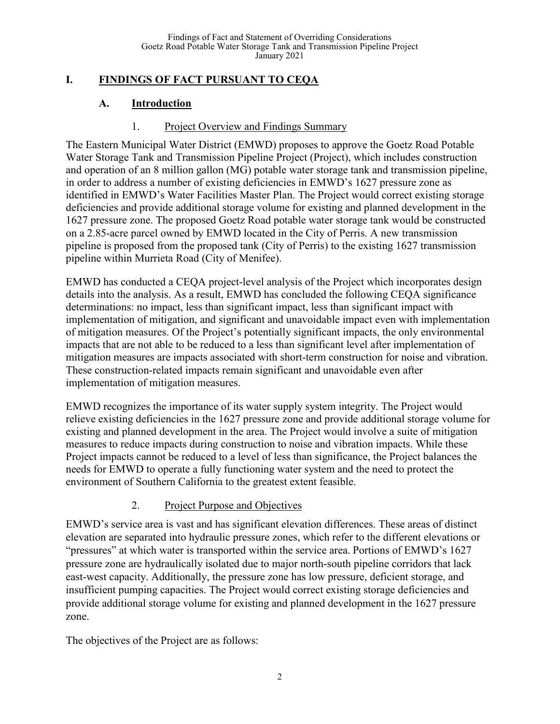# **I. FINDINGS OF FACT PURSUANT TO CEQA**

# **A. Introduction**

#### 1. Project Overview and Findings Summary

The Eastern Municipal Water District (EMWD) proposes to approve the Goetz Road Potable Water Storage Tank and Transmission Pipeline Project (Project), which includes construction and operation of an 8 million gallon (MG) potable water storage tank and transmission pipeline, in order to address a number of existing deficiencies in EMWD's 1627 pressure zone as identified in EMWD's Water Facilities Master Plan. The Project would correct existing storage deficiencies and provide additional storage volume for existing and planned development in the 1627 pressure zone. The proposed Goetz Road potable water storage tank would be constructed on a 2.85-acre parcel owned by EMWD located in the City of Perris. A new transmission pipeline is proposed from the proposed tank (City of Perris) to the existing 1627 transmission pipeline within Murrieta Road (City of Menifee).

EMWD has conducted a CEQA project-level analysis of the Project which incorporates design details into the analysis. As a result, EMWD has concluded the following CEQA significance determinations: no impact, less than significant impact, less than significant impact with implementation of mitigation, and significant and unavoidable impact even with implementation of mitigation measures. Of the Project's potentially significant impacts, the only environmental impacts that are not able to be reduced to a less than significant level after implementation of mitigation measures are impacts associated with short-term construction for noise and vibration. These construction-related impacts remain significant and unavoidable even after implementation of mitigation measures.

EMWD recognizes the importance of its water supply system integrity. The Project would relieve existing deficiencies in the 1627 pressure zone and provide additional storage volume for existing and planned development in the area. The Project would involve a suite of mitigation measures to reduce impacts during construction to noise and vibration impacts. While these Project impacts cannot be reduced to a level of less than significance, the Project balances the needs for EMWD to operate a fully functioning water system and the need to protect the environment of Southern California to the greatest extent feasible.

### 2. Project Purpose and Objectives

EMWD's service area is vast and has significant elevation differences. These areas of distinct elevation are separated into hydraulic pressure zones, which refer to the different elevations or "pressures" at which water is transported within the service area. Portions of EMWD's 1627 pressure zone are hydraulically isolated due to major north-south pipeline corridors that lack east-west capacity. Additionally, the pressure zone has low pressure, deficient storage, and insufficient pumping capacities. The Project would correct existing storage deficiencies and provide additional storage volume for existing and planned development in the 1627 pressure zone.

The objectives of the Project are as follows: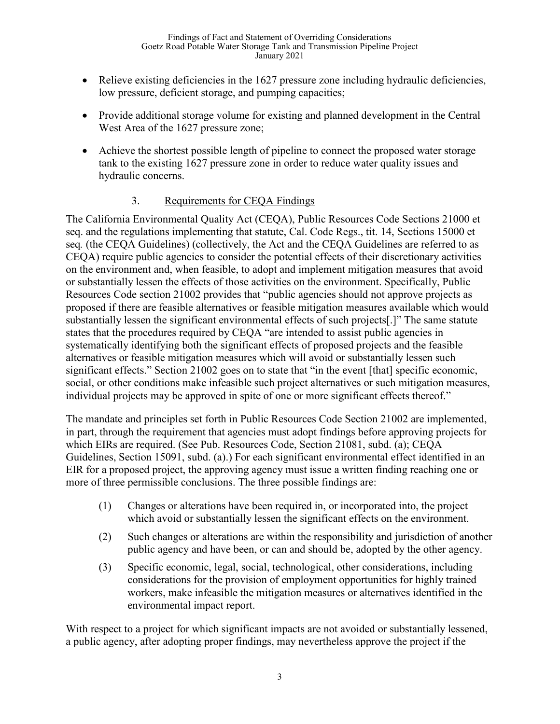- Relieve existing deficiencies in the 1627 pressure zone including hydraulic deficiencies, low pressure, deficient storage, and pumping capacities;
- Provide additional storage volume for existing and planned development in the Central West Area of the 1627 pressure zone;
- Achieve the shortest possible length of pipeline to connect the proposed water storage tank to the existing 1627 pressure zone in order to reduce water quality issues and hydraulic concerns.

# 3. Requirements for CEQA Findings

The California Environmental Quality Act (CEQA), Public Resources Code Sections 21000 et seq. and the regulations implementing that statute, Cal. Code Regs., tit. 14, Sections 15000 et seq*.* (the CEQA Guidelines) (collectively, the Act and the CEQA Guidelines are referred to as CEQA) require public agencies to consider the potential effects of their discretionary activities on the environment and, when feasible, to adopt and implement mitigation measures that avoid or substantially lessen the effects of those activities on the environment. Specifically, Public Resources Code section 21002 provides that "public agencies should not approve projects as proposed if there are feasible alternatives or feasible mitigation measures available which would substantially lessen the significant environmental effects of such projects[.]" The same statute states that the procedures required by CEQA "are intended to assist public agencies in systematically identifying both the significant effects of proposed projects and the feasible alternatives or feasible mitigation measures which will avoid or substantially lessen such significant effects." Section 21002 goes on to state that "in the event [that] specific economic, social, or other conditions make infeasible such project alternatives or such mitigation measures, individual projects may be approved in spite of one or more significant effects thereof."

The mandate and principles set forth in Public Resources Code Section 21002 are implemented, in part, through the requirement that agencies must adopt findings before approving projects for which EIRs are required. (See Pub. Resources Code, Section 21081, subd. (a); CEQA Guidelines, Section 15091, subd. (a).) For each significant environmental effect identified in an EIR for a proposed project, the approving agency must issue a written finding reaching one or more of three permissible conclusions. The three possible findings are:

- (1) Changes or alterations have been required in, or incorporated into, the project which avoid or substantially lessen the significant effects on the environment.
- (2) Such changes or alterations are within the responsibility and jurisdiction of another public agency and have been, or can and should be, adopted by the other agency.
- (3) Specific economic, legal, social, technological, other considerations, including considerations for the provision of employment opportunities for highly trained workers, make infeasible the mitigation measures or alternatives identified in the environmental impact report.

With respect to a project for which significant impacts are not avoided or substantially lessened, a public agency, after adopting proper findings, may nevertheless approve the project if the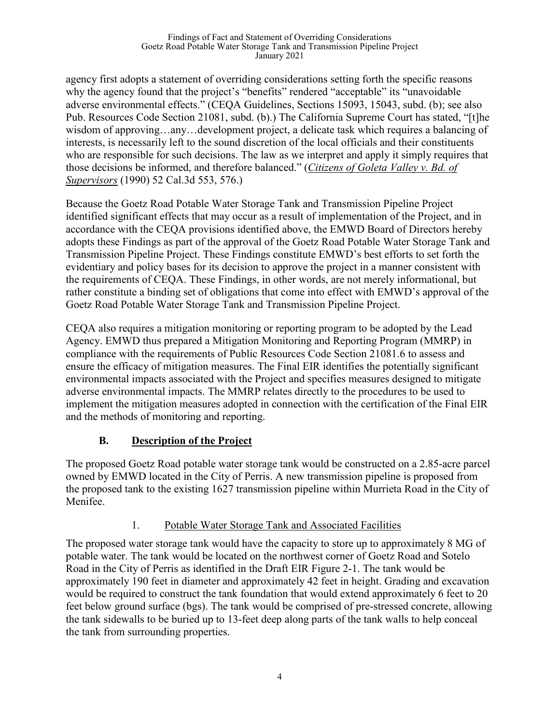agency first adopts a statement of overriding considerations setting forth the specific reasons why the agency found that the project's "benefits" rendered "acceptable" its "unavoidable adverse environmental effects." (CEQA Guidelines, Sections 15093, 15043, subd. (b); see also Pub. Resources Code Section 21081, subd. (b).) The California Supreme Court has stated, "[t]he wisdom of approving…any…development project, a delicate task which requires a balancing of interests, is necessarily left to the sound discretion of the local officials and their constituents who are responsible for such decisions. The law as we interpret and apply it simply requires that those decisions be informed, and therefore balanced." (*Citizens of Goleta Valley v. Bd. of Supervisors* (1990) 52 Cal.3d 553, 576.)

Because the Goetz Road Potable Water Storage Tank and Transmission Pipeline Project identified significant effects that may occur as a result of implementation of the Project, and in accordance with the CEQA provisions identified above, the EMWD Board of Directors hereby adopts these Findings as part of the approval of the Goetz Road Potable Water Storage Tank and Transmission Pipeline Project. These Findings constitute EMWD's best efforts to set forth the evidentiary and policy bases for its decision to approve the project in a manner consistent with the requirements of CEQA. These Findings, in other words, are not merely informational, but rather constitute a binding set of obligations that come into effect with EMWD's approval of the Goetz Road Potable Water Storage Tank and Transmission Pipeline Project.

CEQA also requires a mitigation monitoring or reporting program to be adopted by the Lead Agency. EMWD thus prepared a Mitigation Monitoring and Reporting Program (MMRP) in compliance with the requirements of Public Resources Code Section 21081.6 to assess and ensure the efficacy of mitigation measures. The Final EIR identifies the potentially significant environmental impacts associated with the Project and specifies measures designed to mitigate adverse environmental impacts. The MMRP relates directly to the procedures to be used to implement the mitigation measures adopted in connection with the certification of the Final EIR and the methods of monitoring and reporting.

# **B. Description of the Project**

The proposed Goetz Road potable water storage tank would be constructed on a 2.85-acre parcel owned by EMWD located in the City of Perris. A new transmission pipeline is proposed from the proposed tank to the existing 1627 transmission pipeline within Murrieta Road in the City of Menifee.

# 1. Potable Water Storage Tank and Associated Facilities

The proposed water storage tank would have the capacity to store up to approximately 8 MG of potable water. The tank would be located on the northwest corner of Goetz Road and Sotelo Road in the City of Perris as identified in the Draft EIR Figure 2-1. The tank would be approximately 190 feet in diameter and approximately 42 feet in height. Grading and excavation would be required to construct the tank foundation that would extend approximately 6 feet to 20 feet below ground surface (bgs). The tank would be comprised of pre-stressed concrete, allowing the tank sidewalls to be buried up to 13-feet deep along parts of the tank walls to help conceal the tank from surrounding properties.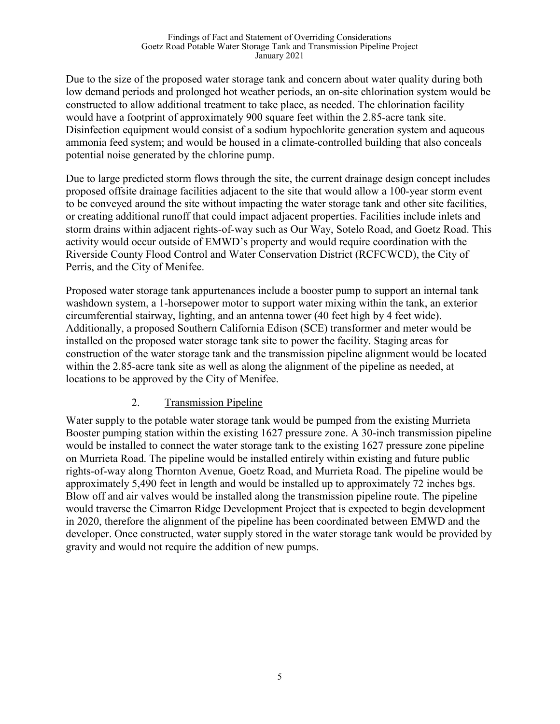Due to the size of the proposed water storage tank and concern about water quality during both low demand periods and prolonged hot weather periods, an on-site chlorination system would be constructed to allow additional treatment to take place, as needed. The chlorination facility would have a footprint of approximately 900 square feet within the 2.85-acre tank site. Disinfection equipment would consist of a sodium hypochlorite generation system and aqueous ammonia feed system; and would be housed in a climate-controlled building that also conceals potential noise generated by the chlorine pump.

Due to large predicted storm flows through the site, the current drainage design concept includes proposed offsite drainage facilities adjacent to the site that would allow a 100-year storm event to be conveyed around the site without impacting the water storage tank and other site facilities, or creating additional runoff that could impact adjacent properties. Facilities include inlets and storm drains within adjacent rights-of-way such as Our Way, Sotelo Road, and Goetz Road. This activity would occur outside of EMWD's property and would require coordination with the Riverside County Flood Control and Water Conservation District (RCFCWCD), the City of Perris, and the City of Menifee.

Proposed water storage tank appurtenances include a booster pump to support an internal tank washdown system, a 1-horsepower motor to support water mixing within the tank, an exterior circumferential stairway, lighting, and an antenna tower (40 feet high by 4 feet wide). Additionally, a proposed Southern California Edison (SCE) transformer and meter would be installed on the proposed water storage tank site to power the facility. Staging areas for construction of the water storage tank and the transmission pipeline alignment would be located within the 2.85-acre tank site as well as along the alignment of the pipeline as needed, at locations to be approved by the City of Menifee.

### 2. Transmission Pipeline

Water supply to the potable water storage tank would be pumped from the existing Murrieta Booster pumping station within the existing 1627 pressure zone. A 30-inch transmission pipeline would be installed to connect the water storage tank to the existing 1627 pressure zone pipeline on Murrieta Road. The pipeline would be installed entirely within existing and future public rights-of-way along Thornton Avenue, Goetz Road, and Murrieta Road. The pipeline would be approximately 5,490 feet in length and would be installed up to approximately 72 inches bgs. Blow off and air valves would be installed along the transmission pipeline route. The pipeline would traverse the Cimarron Ridge Development Project that is expected to begin development in 2020, therefore the alignment of the pipeline has been coordinated between EMWD and the developer. Once constructed, water supply stored in the water storage tank would be provided by gravity and would not require the addition of new pumps.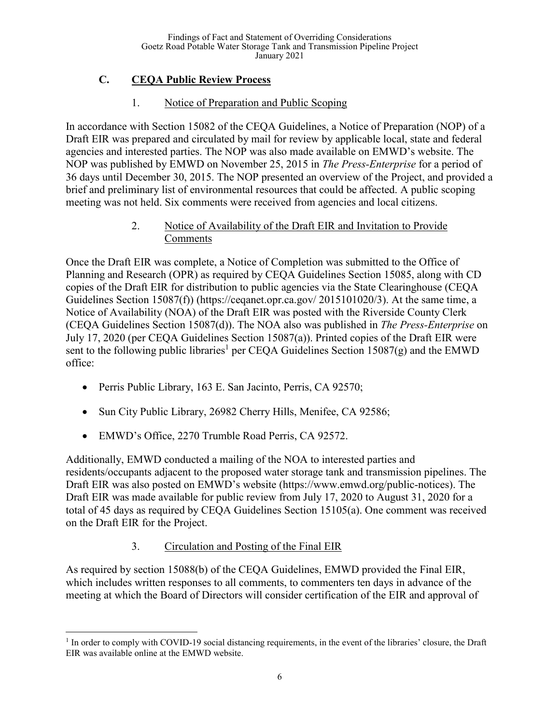# **C. CEQA Public Review Process**

## 1. Notice of Preparation and Public Scoping

In accordance with Section 15082 of the CEQA Guidelines, a Notice of Preparation (NOP) of a Draft EIR was prepared and circulated by mail for review by applicable local, state and federal agencies and interested parties. The NOP was also made available on EMWD's website. The NOP was published by EMWD on November 25, 2015 in *The Press-Enterprise* for a period of 36 days until December 30, 2015. The NOP presented an overview of the Project, and provided a brief and preliminary list of environmental resources that could be affected. A public scoping meeting was not held. Six comments were received from agencies and local citizens.

### 2. Notice of Availability of the Draft EIR and Invitation to Provide Comments

Once the Draft EIR was complete, a Notice of Completion was submitted to the Office of Planning and Research (OPR) as required by CEQA Guidelines Section 15085, along with CD copies of the Draft EIR for distribution to public agencies via the State Clearinghouse (CEQA Guidelines Section 15087(f)) (https://ceqanet.opr.ca.gov/ 2015101020/3). At the same time, a Notice of Availability (NOA) of the Draft EIR was posted with the Riverside County Clerk (CEQA Guidelines Section 15087(d)). The NOA also was published in *The Press-Enterprise* on July 17, 2020 (per CEQA Guidelines Section 15087(a)). Printed copies of the Draft EIR were sent to the following public libraries<sup>1</sup> per CEQA Guidelines Section 15087(g) and the EMWD office:

- Perris Public Library, 163 E. San Jacinto, Perris, CA 92570;
- Sun City Public Library, 26982 Cherry Hills, Menifee, CA 92586;
- EMWD's Office, 2270 Trumble Road Perris, CA 92572.

Additionally, EMWD conducted a mailing of the NOA to interested parties and residents/occupants adjacent to the proposed water storage tank and transmission pipelines. The Draft EIR was also posted on EMWD's website (https://www.emwd.org/public-notices). The Draft EIR was made available for public review from July 17, 2020 to August 31, 2020 for a total of 45 days as required by CEQA Guidelines Section 15105(a). One comment was received on the Draft EIR for the Project.

# 3. Circulation and Posting of the Final EIR

As required by section 15088(b) of the CEQA Guidelines, EMWD provided the Final EIR, which includes written responses to all comments, to commenters ten days in advance of the meeting at which the Board of Directors will consider certification of the EIR and approval of

 $<sup>1</sup>$  In order to comply with COVID-19 social distancing requirements, in the event of the libraries' closure, the Draft</sup> EIR was available online at the EMWD website.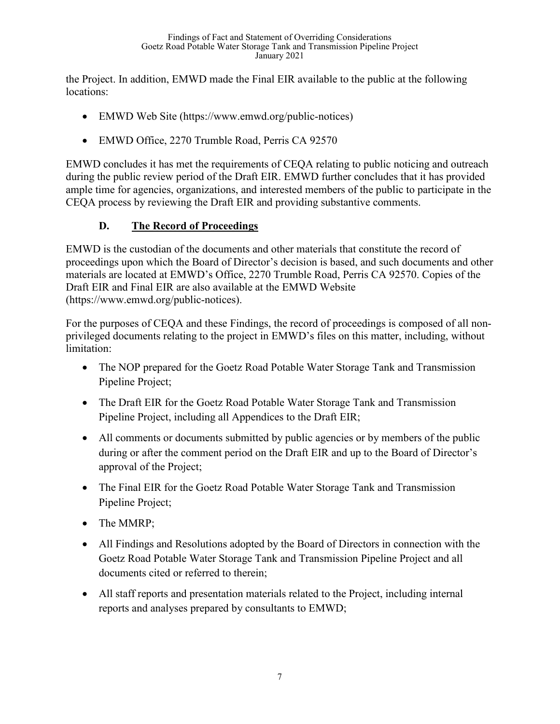the Project. In addition, EMWD made the Final EIR available to the public at the following locations:

- EMWD Web Site (https://www.emwd.org/public-notices)
- EMWD Office, 2270 Trumble Road, Perris CA 92570

EMWD concludes it has met the requirements of CEQA relating to public noticing and outreach during the public review period of the Draft EIR. EMWD further concludes that it has provided ample time for agencies, organizations, and interested members of the public to participate in the CEQA process by reviewing the Draft EIR and providing substantive comments.

# **D. The Record of Proceedings**

EMWD is the custodian of the documents and other materials that constitute the record of proceedings upon which the Board of Director's decision is based, and such documents and other materials are located at EMWD's Office, 2270 Trumble Road, Perris CA 92570. Copies of the Draft EIR and Final EIR are also available at the EMWD Website (https://www.emwd.org/public-notices).

For the purposes of CEQA and these Findings, the record of proceedings is composed of all nonprivileged documents relating to the project in EMWD's files on this matter, including, without limitation:

- The NOP prepared for the Goetz Road Potable Water Storage Tank and Transmission Pipeline Project;
- The Draft EIR for the Goetz Road Potable Water Storage Tank and Transmission Pipeline Project, including all Appendices to the Draft EIR;
- All comments or documents submitted by public agencies or by members of the public during or after the comment period on the Draft EIR and up to the Board of Director's approval of the Project;
- The Final EIR for the Goetz Road Potable Water Storage Tank and Transmission Pipeline Project;
- The MMRP;
- All Findings and Resolutions adopted by the Board of Directors in connection with the Goetz Road Potable Water Storage Tank and Transmission Pipeline Project and all documents cited or referred to therein;
- All staff reports and presentation materials related to the Project, including internal reports and analyses prepared by consultants to EMWD;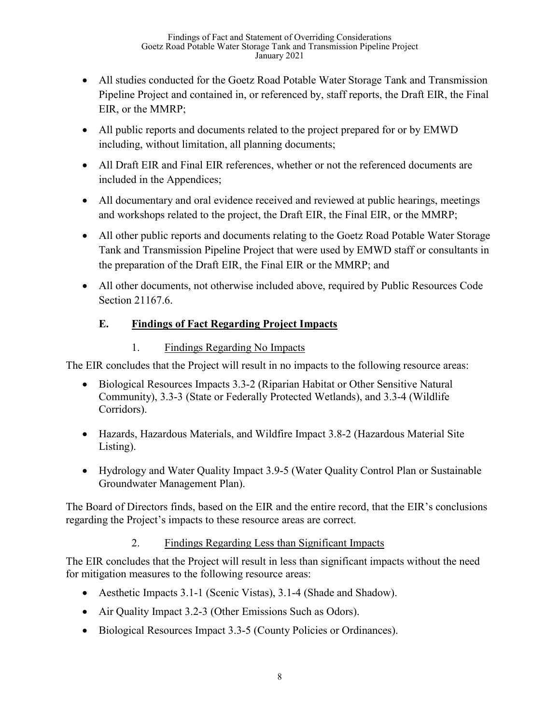- All studies conducted for the Goetz Road Potable Water Storage Tank and Transmission Pipeline Project and contained in, or referenced by, staff reports, the Draft EIR, the Final EIR, or the MMRP;
- All public reports and documents related to the project prepared for or by EMWD including, without limitation, all planning documents;
- All Draft EIR and Final EIR references, whether or not the referenced documents are included in the Appendices;
- All documentary and oral evidence received and reviewed at public hearings, meetings and workshops related to the project, the Draft EIR, the Final EIR, or the MMRP;
- All other public reports and documents relating to the Goetz Road Potable Water Storage Tank and Transmission Pipeline Project that were used by EMWD staff or consultants in the preparation of the Draft EIR, the Final EIR or the MMRP; and
- All other documents, not otherwise included above, required by Public Resources Code Section 21167.6.

# **E. Findings of Fact Regarding Project Impacts**

# 1. Findings Regarding No Impacts

The EIR concludes that the Project will result in no impacts to the following resource areas:

- Biological Resources Impacts 3.3-2 (Riparian Habitat or Other Sensitive Natural Community), 3.3-3 (State or Federally Protected Wetlands), and 3.3-4 (Wildlife Corridors).
- Hazards, Hazardous Materials, and Wildfire Impact 3.8-2 (Hazardous Material Site Listing).
- Hydrology and Water Quality Impact 3.9-5 (Water Quality Control Plan or Sustainable Groundwater Management Plan).

The Board of Directors finds, based on the EIR and the entire record, that the EIR's conclusions regarding the Project's impacts to these resource areas are correct.

# 2. Findings Regarding Less than Significant Impacts

The EIR concludes that the Project will result in less than significant impacts without the need for mitigation measures to the following resource areas:

- Aesthetic Impacts 3.1-1 (Scenic Vistas), 3.1-4 (Shade and Shadow).
- Air Quality Impact 3.2-3 (Other Emissions Such as Odors).
- Biological Resources Impact 3.3-5 (County Policies or Ordinances).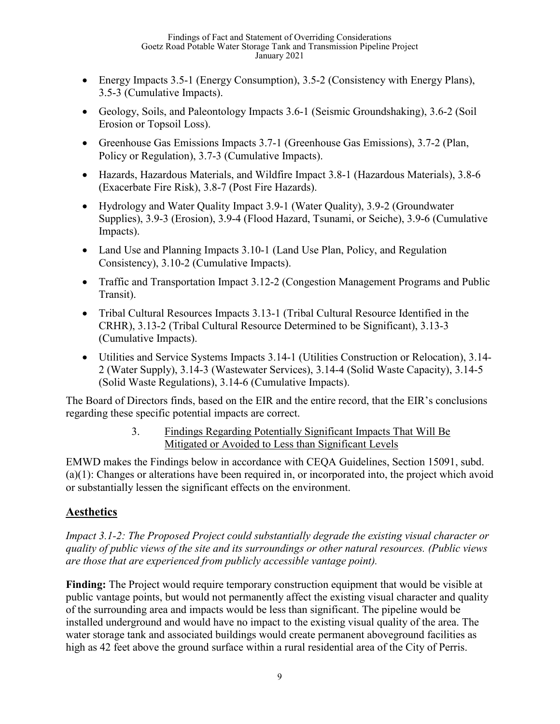- Energy Impacts 3.5-1 (Energy Consumption), 3.5-2 (Consistency with Energy Plans), 3.5-3 (Cumulative Impacts).
- Geology, Soils, and Paleontology Impacts 3.6-1 (Seismic Groundshaking), 3.6-2 (Soil Erosion or Topsoil Loss).
- Greenhouse Gas Emissions Impacts 3.7-1 (Greenhouse Gas Emissions), 3.7-2 (Plan, Policy or Regulation), 3.7-3 (Cumulative Impacts).
- Hazards, Hazardous Materials, and Wildfire Impact 3.8-1 (Hazardous Materials), 3.8-6 (Exacerbate Fire Risk), 3.8-7 (Post Fire Hazards).
- Hydrology and Water Quality Impact 3.9-1 (Water Quality), 3.9-2 (Groundwater Supplies), 3.9-3 (Erosion), 3.9-4 (Flood Hazard, Tsunami, or Seiche), 3.9-6 (Cumulative Impacts).
- Land Use and Planning Impacts 3.10-1 (Land Use Plan, Policy, and Regulation Consistency), 3.10-2 (Cumulative Impacts).
- Traffic and Transportation Impact 3.12-2 (Congestion Management Programs and Public Transit).
- Tribal Cultural Resources Impacts 3.13-1 (Tribal Cultural Resource Identified in the CRHR), 3.13-2 (Tribal Cultural Resource Determined to be Significant), 3.13-3 (Cumulative Impacts).
- Utilities and Service Systems Impacts 3.14-1 (Utilities Construction or Relocation), 3.14- 2 (Water Supply), 3.14-3 (Wastewater Services), 3.14-4 (Solid Waste Capacity), 3.14-5 (Solid Waste Regulations), 3.14-6 (Cumulative Impacts).

The Board of Directors finds, based on the EIR and the entire record, that the EIR's conclusions regarding these specific potential impacts are correct.

## 3. Findings Regarding Potentially Significant Impacts That Will Be Mitigated or Avoided to Less than Significant Levels

EMWD makes the Findings below in accordance with CEQA Guidelines, Section 15091, subd. (a)(1): Changes or alterations have been required in, or incorporated into, the project which avoid or substantially lessen the significant effects on the environment.

# **Aesthetics**

*Impact 3.1-2: The Proposed Project could substantially degrade the existing visual character or quality of public views of the site and its surroundings or other natural resources. (Public views are those that are experienced from publicly accessible vantage point).*

**Finding:** The Project would require temporary construction equipment that would be visible at public vantage points, but would not permanently affect the existing visual character and quality of the surrounding area and impacts would be less than significant. The pipeline would be installed underground and would have no impact to the existing visual quality of the area. The water storage tank and associated buildings would create permanent aboveground facilities as high as 42 feet above the ground surface within a rural residential area of the City of Perris.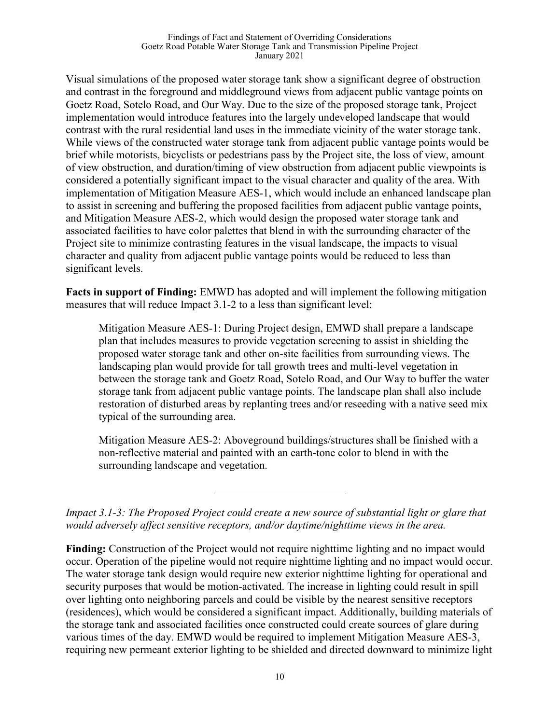Visual simulations of the proposed water storage tank show a significant degree of obstruction and contrast in the foreground and middleground views from adjacent public vantage points on Goetz Road, Sotelo Road, and Our Way. Due to the size of the proposed storage tank, Project implementation would introduce features into the largely undeveloped landscape that would contrast with the rural residential land uses in the immediate vicinity of the water storage tank. While views of the constructed water storage tank from adjacent public vantage points would be brief while motorists, bicyclists or pedestrians pass by the Project site, the loss of view, amount of view obstruction, and duration/timing of view obstruction from adjacent public viewpoints is considered a potentially significant impact to the visual character and quality of the area. With implementation of Mitigation Measure AES-1, which would include an enhanced landscape plan to assist in screening and buffering the proposed facilities from adjacent public vantage points, and Mitigation Measure AES-2, which would design the proposed water storage tank and associated facilities to have color palettes that blend in with the surrounding character of the Project site to minimize contrasting features in the visual landscape, the impacts to visual character and quality from adjacent public vantage points would be reduced to less than significant levels.

**Facts in support of Finding:** EMWD has adopted and will implement the following mitigation measures that will reduce Impact 3.1-2 to a less than significant level:

Mitigation Measure AES-1: During Project design, EMWD shall prepare a landscape plan that includes measures to provide vegetation screening to assist in shielding the proposed water storage tank and other on-site facilities from surrounding views. The landscaping plan would provide for tall growth trees and multi-level vegetation in between the storage tank and Goetz Road, Sotelo Road, and Our Way to buffer the water storage tank from adjacent public vantage points. The landscape plan shall also include restoration of disturbed areas by replanting trees and/or reseeding with a native seed mix typical of the surrounding area.

Mitigation Measure AES-2: Aboveground buildings/structures shall be finished with a non-reflective material and painted with an earth-tone color to blend in with the surrounding landscape and vegetation.

**Finding:** Construction of the Project would not require nighttime lighting and no impact would occur. Operation of the pipeline would not require nighttime lighting and no impact would occur. The water storage tank design would require new exterior nighttime lighting for operational and security purposes that would be motion-activated. The increase in lighting could result in spill over lighting onto neighboring parcels and could be visible by the nearest sensitive receptors (residences), which would be considered a significant impact. Additionally, building materials of the storage tank and associated facilities once constructed could create sources of glare during various times of the day. EMWD would be required to implement Mitigation Measure AES-3, requiring new permeant exterior lighting to be shielded and directed downward to minimize light

*Impact 3.1-3: The Proposed Project could create a new source of substantial light or glare that would adversely affect sensitive receptors, and/or daytime/nighttime views in the area.*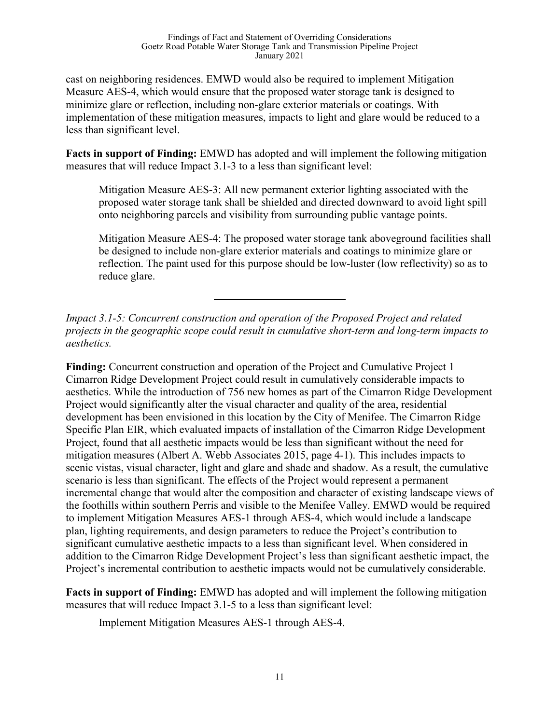cast on neighboring residences. EMWD would also be required to implement Mitigation Measure AES-4, which would ensure that the proposed water storage tank is designed to minimize glare or reflection, including non-glare exterior materials or coatings. With implementation of these mitigation measures, impacts to light and glare would be reduced to a less than significant level.

**Facts in support of Finding:** EMWD has adopted and will implement the following mitigation measures that will reduce Impact 3.1-3 to a less than significant level:

Mitigation Measure AES-3: All new permanent exterior lighting associated with the proposed water storage tank shall be shielded and directed downward to avoid light spill onto neighboring parcels and visibility from surrounding public vantage points.

Mitigation Measure AES-4: The proposed water storage tank aboveground facilities shall be designed to include non-glare exterior materials and coatings to minimize glare or reflection. The paint used for this purpose should be low-luster (low reflectivity) so as to reduce glare.

*Impact 3.1-5: Concurrent construction and operation of the Proposed Project and related projects in the geographic scope could result in cumulative short-term and long-term impacts to aesthetics.* 

**Finding:** Concurrent construction and operation of the Project and Cumulative Project 1 Cimarron Ridge Development Project could result in cumulatively considerable impacts to aesthetics. While the introduction of 756 new homes as part of the Cimarron Ridge Development Project would significantly alter the visual character and quality of the area, residential development has been envisioned in this location by the City of Menifee. The Cimarron Ridge Specific Plan EIR, which evaluated impacts of installation of the Cimarron Ridge Development Project, found that all aesthetic impacts would be less than significant without the need for mitigation measures (Albert A. Webb Associates 2015, page 4-1). This includes impacts to scenic vistas, visual character, light and glare and shade and shadow. As a result, the cumulative scenario is less than significant. The effects of the Project would represent a permanent incremental change that would alter the composition and character of existing landscape views of the foothills within southern Perris and visible to the Menifee Valley. EMWD would be required to implement Mitigation Measures AES-1 through AES-4, which would include a landscape plan, lighting requirements, and design parameters to reduce the Project's contribution to significant cumulative aesthetic impacts to a less than significant level. When considered in addition to the Cimarron Ridge Development Project's less than significant aesthetic impact, the Project's incremental contribution to aesthetic impacts would not be cumulatively considerable.

**Facts in support of Finding:** EMWD has adopted and will implement the following mitigation measures that will reduce Impact 3.1-5 to a less than significant level:

Implement Mitigation Measures AES-1 through AES-4.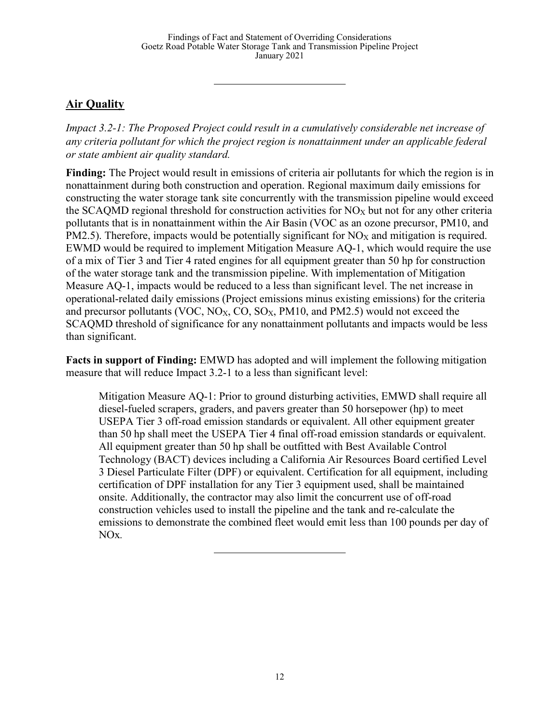# **Air Quality**

*Impact 3.2-1: The Proposed Project could result in a cumulatively considerable net increase of any criteria pollutant for which the project region is nonattainment under an applicable federal or state ambient air quality standard.*

**Finding:** The Project would result in emissions of criteria air pollutants for which the region is in nonattainment during both construction and operation. Regional maximum daily emissions for constructing the water storage tank site concurrently with the transmission pipeline would exceed the SCAQMD regional threshold for construction activities for  $NO_X$  but not for any other criteria pollutants that is in nonattainment within the Air Basin (VOC as an ozone precursor, PM10, and  $PM2.5$ ). Therefore, impacts would be potentially significant for  $NO<sub>X</sub>$  and mitigation is required. EWMD would be required to implement Mitigation Measure AQ-1, which would require the use of a mix of Tier 3 and Tier 4 rated engines for all equipment greater than 50 hp for construction of the water storage tank and the transmission pipeline. With implementation of Mitigation Measure AQ-1, impacts would be reduced to a less than significant level. The net increase in operational-related daily emissions (Project emissions minus existing emissions) for the criteria and precursor pollutants (VOC, NO<sub>X</sub>, CO, SO<sub>X</sub>, PM10, and PM2.5) would not exceed the SCAQMD threshold of significance for any nonattainment pollutants and impacts would be less than significant.

**Facts in support of Finding:** EMWD has adopted and will implement the following mitigation measure that will reduce Impact 3.2-1 to a less than significant level:

Mitigation Measure AQ-1: Prior to ground disturbing activities, EMWD shall require all diesel-fueled scrapers, graders, and pavers greater than 50 horsepower (hp) to meet USEPA Tier 3 off-road emission standards or equivalent. All other equipment greater than 50 hp shall meet the USEPA Tier 4 final off-road emission standards or equivalent. All equipment greater than 50 hp shall be outfitted with Best Available Control Technology (BACT) devices including a California Air Resources Board certified Level 3 Diesel Particulate Filter (DPF) or equivalent. Certification for all equipment, including certification of DPF installation for any Tier 3 equipment used, shall be maintained onsite. Additionally, the contractor may also limit the concurrent use of off-road construction vehicles used to install the pipeline and the tank and re-calculate the emissions to demonstrate the combined fleet would emit less than 100 pounds per day of NOx*.*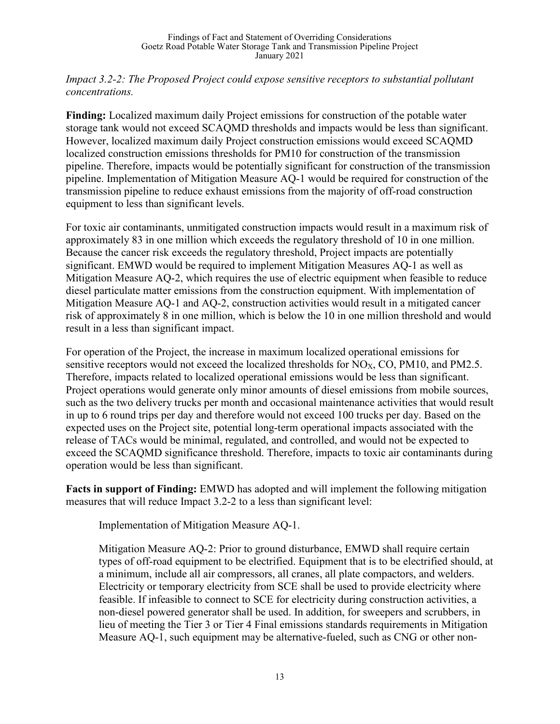#### *Impact 3.2-2: The Proposed Project could expose sensitive receptors to substantial pollutant concentrations.*

**Finding:** Localized maximum daily Project emissions for construction of the potable water storage tank would not exceed SCAQMD thresholds and impacts would be less than significant. However, localized maximum daily Project construction emissions would exceed SCAQMD localized construction emissions thresholds for PM10 for construction of the transmission pipeline. Therefore, impacts would be potentially significant for construction of the transmission pipeline. Implementation of Mitigation Measure AQ-1 would be required for construction of the transmission pipeline to reduce exhaust emissions from the majority of off-road construction equipment to less than significant levels.

For toxic air contaminants, unmitigated construction impacts would result in a maximum risk of approximately 83 in one million which exceeds the regulatory threshold of 10 in one million. Because the cancer risk exceeds the regulatory threshold, Project impacts are potentially significant. EMWD would be required to implement Mitigation Measures AQ-1 as well as Mitigation Measure AQ-2, which requires the use of electric equipment when feasible to reduce diesel particulate matter emissions from the construction equipment. With implementation of Mitigation Measure AQ-1 and AQ-2, construction activities would result in a mitigated cancer risk of approximately 8 in one million, which is below the 10 in one million threshold and would result in a less than significant impact.

For operation of the Project, the increase in maximum localized operational emissions for sensitive receptors would not exceed the localized thresholds for  $NO<sub>X</sub>$ , CO, PM10, and PM2.5. Therefore, impacts related to localized operational emissions would be less than significant. Project operations would generate only minor amounts of diesel emissions from mobile sources, such as the two delivery trucks per month and occasional maintenance activities that would result in up to 6 round trips per day and therefore would not exceed 100 trucks per day. Based on the expected uses on the Project site, potential long-term operational impacts associated with the release of TACs would be minimal, regulated, and controlled, and would not be expected to exceed the SCAQMD significance threshold. Therefore, impacts to toxic air contaminants during operation would be less than significant.

**Facts in support of Finding:** EMWD has adopted and will implement the following mitigation measures that will reduce Impact 3.2-2 to a less than significant level:

Implementation of Mitigation Measure AQ-1.

Mitigation Measure AQ-2: Prior to ground disturbance, EMWD shall require certain types of off-road equipment to be electrified. Equipment that is to be electrified should, at a minimum, include all air compressors, all cranes, all plate compactors, and welders. Electricity or temporary electricity from SCE shall be used to provide electricity where feasible. If infeasible to connect to SCE for electricity during construction activities, a non-diesel powered generator shall be used. In addition, for sweepers and scrubbers, in lieu of meeting the Tier 3 or Tier 4 Final emissions standards requirements in Mitigation Measure AQ-1, such equipment may be alternative-fueled, such as CNG or other non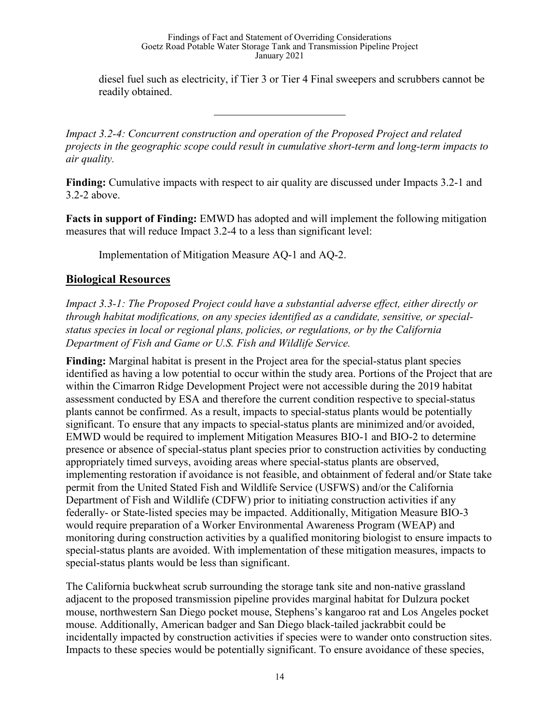diesel fuel such as electricity, if Tier 3 or Tier 4 Final sweepers and scrubbers cannot be readily obtained.

*Impact 3.2-4: Concurrent construction and operation of the Proposed Project and related projects in the geographic scope could result in cumulative short-term and long-term impacts to air quality.*

**Finding:** Cumulative impacts with respect to air quality are discussed under Impacts 3.2-1 and 3.2-2 above.

**Facts in support of Finding:** EMWD has adopted and will implement the following mitigation measures that will reduce Impact 3.2-4 to a less than significant level:

Implementation of Mitigation Measure AQ-1 and AQ-2.

# **Biological Resources**

*Impact 3.3-1: The Proposed Project could have a substantial adverse effect, either directly or through habitat modifications, on any species identified as a candidate, sensitive, or specialstatus species in local or regional plans, policies, or regulations, or by the California Department of Fish and Game or U.S. Fish and Wildlife Service.*

**Finding:** Marginal habitat is present in the Project area for the special-status plant species identified as having a low potential to occur within the study area. Portions of the Project that are within the Cimarron Ridge Development Project were not accessible during the 2019 habitat assessment conducted by ESA and therefore the current condition respective to special-status plants cannot be confirmed. As a result, impacts to special-status plants would be potentially significant. To ensure that any impacts to special-status plants are minimized and/or avoided, EMWD would be required to implement Mitigation Measures BIO-1 and BIO-2 to determine presence or absence of special-status plant species prior to construction activities by conducting appropriately timed surveys, avoiding areas where special-status plants are observed, implementing restoration if avoidance is not feasible, and obtainment of federal and/or State take permit from the United Stated Fish and Wildlife Service (USFWS) and/or the California Department of Fish and Wildlife (CDFW) prior to initiating construction activities if any federally- or State-listed species may be impacted. Additionally, Mitigation Measure BIO-3 would require preparation of a Worker Environmental Awareness Program (WEAP) and monitoring during construction activities by a qualified monitoring biologist to ensure impacts to special-status plants are avoided. With implementation of these mitigation measures, impacts to special-status plants would be less than significant.

The California buckwheat scrub surrounding the storage tank site and non-native grassland adjacent to the proposed transmission pipeline provides marginal habitat for Dulzura pocket mouse, northwestern San Diego pocket mouse, Stephens's kangaroo rat and Los Angeles pocket mouse. Additionally, American badger and San Diego black-tailed jackrabbit could be incidentally impacted by construction activities if species were to wander onto construction sites. Impacts to these species would be potentially significant. To ensure avoidance of these species,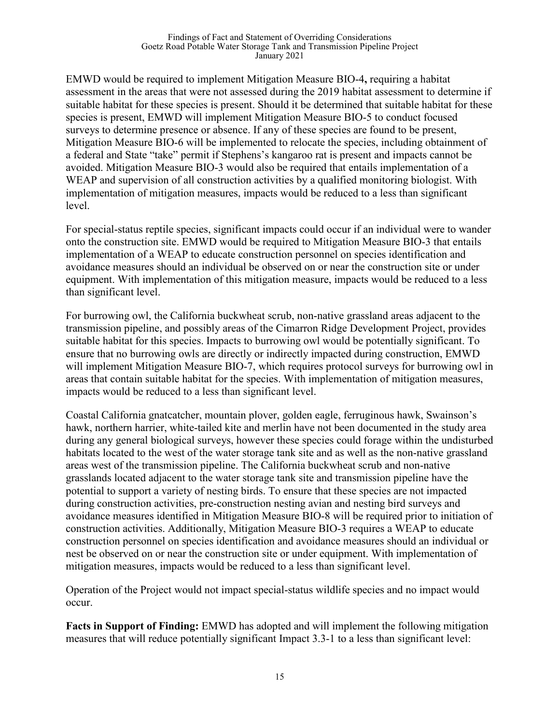EMWD would be required to implement Mitigation Measure BIO-4**,** requiring a habitat assessment in the areas that were not assessed during the 2019 habitat assessment to determine if suitable habitat for these species is present. Should it be determined that suitable habitat for these species is present, EMWD will implement Mitigation Measure BIO-5 to conduct focused surveys to determine presence or absence. If any of these species are found to be present, Mitigation Measure BIO-6 will be implemented to relocate the species, including obtainment of a federal and State "take" permit if Stephens's kangaroo rat is present and impacts cannot be avoided. Mitigation Measure BIO-3 would also be required that entails implementation of a WEAP and supervision of all construction activities by a qualified monitoring biologist. With implementation of mitigation measures, impacts would be reduced to a less than significant level.

For special-status reptile species, significant impacts could occur if an individual were to wander onto the construction site. EMWD would be required to Mitigation Measure BIO-3 that entails implementation of a WEAP to educate construction personnel on species identification and avoidance measures should an individual be observed on or near the construction site or under equipment. With implementation of this mitigation measure, impacts would be reduced to a less than significant level.

For burrowing owl, the California buckwheat scrub, non-native grassland areas adjacent to the transmission pipeline, and possibly areas of the Cimarron Ridge Development Project, provides suitable habitat for this species. Impacts to burrowing owl would be potentially significant. To ensure that no burrowing owls are directly or indirectly impacted during construction, EMWD will implement Mitigation Measure BIO-7, which requires protocol surveys for burrowing owl in areas that contain suitable habitat for the species. With implementation of mitigation measures, impacts would be reduced to a less than significant level.

Coastal California gnatcatcher, mountain plover, golden eagle, ferruginous hawk, Swainson's hawk, northern harrier, white-tailed kite and merlin have not been documented in the study area during any general biological surveys, however these species could forage within the undisturbed habitats located to the west of the water storage tank site and as well as the non-native grassland areas west of the transmission pipeline. The California buckwheat scrub and non-native grasslands located adjacent to the water storage tank site and transmission pipeline have the potential to support a variety of nesting birds. To ensure that these species are not impacted during construction activities, pre-construction nesting avian and nesting bird surveys and avoidance measures identified in Mitigation Measure BIO-8 will be required prior to initiation of construction activities. Additionally, Mitigation Measure BIO-3 requires a WEAP to educate construction personnel on species identification and avoidance measures should an individual or nest be observed on or near the construction site or under equipment. With implementation of mitigation measures, impacts would be reduced to a less than significant level.

Operation of the Project would not impact special-status wildlife species and no impact would occur.

**Facts in Support of Finding:** EMWD has adopted and will implement the following mitigation measures that will reduce potentially significant Impact 3.3-1 to a less than significant level: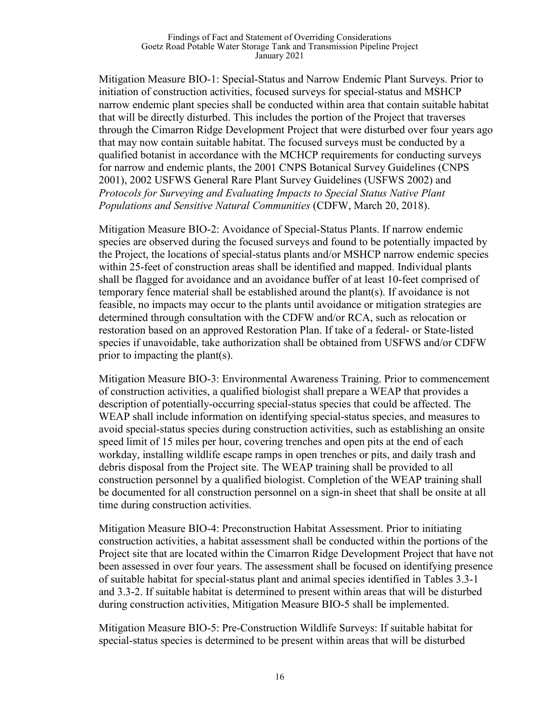#### Findings of Fact and Statement of Overriding Considerations Goetz Road Potable Water Storage Tank and Transmission Pipeline Project January 2021

Mitigation Measure BIO-1: Special-Status and Narrow Endemic Plant Surveys. Prior to initiation of construction activities, focused surveys for special-status and MSHCP narrow endemic plant species shall be conducted within area that contain suitable habitat that will be directly disturbed. This includes the portion of the Project that traverses through the Cimarron Ridge Development Project that were disturbed over four years ago that may now contain suitable habitat. The focused surveys must be conducted by a qualified botanist in accordance with the MCHCP requirements for conducting surveys for narrow and endemic plants, the 2001 CNPS Botanical Survey Guidelines (CNPS 2001), 2002 USFWS General Rare Plant Survey Guidelines (USFWS 2002) and *Protocols for Surveying and Evaluating Impacts to Special Status Native Plant Populations and Sensitive Natural Communities* (CDFW, March 20, 2018).

Mitigation Measure BIO-2: Avoidance of Special-Status Plants. If narrow endemic species are observed during the focused surveys and found to be potentially impacted by the Project, the locations of special-status plants and/or MSHCP narrow endemic species within 25-feet of construction areas shall be identified and mapped. Individual plants shall be flagged for avoidance and an avoidance buffer of at least 10-feet comprised of temporary fence material shall be established around the plant(s). If avoidance is not feasible, no impacts may occur to the plants until avoidance or mitigation strategies are determined through consultation with the CDFW and/or RCA, such as relocation or restoration based on an approved Restoration Plan. If take of a federal- or State-listed species if unavoidable, take authorization shall be obtained from USFWS and/or CDFW prior to impacting the plant(s).

Mitigation Measure BIO-3: Environmental Awareness Training. Prior to commencement of construction activities, a qualified biologist shall prepare a WEAP that provides a description of potentially-occurring special-status species that could be affected. The WEAP shall include information on identifying special-status species, and measures to avoid special-status species during construction activities, such as establishing an onsite speed limit of 15 miles per hour, covering trenches and open pits at the end of each workday, installing wildlife escape ramps in open trenches or pits, and daily trash and debris disposal from the Project site. The WEAP training shall be provided to all construction personnel by a qualified biologist. Completion of the WEAP training shall be documented for all construction personnel on a sign-in sheet that shall be onsite at all time during construction activities.

Mitigation Measure BIO-4: Preconstruction Habitat Assessment. Prior to initiating construction activities, a habitat assessment shall be conducted within the portions of the Project site that are located within the Cimarron Ridge Development Project that have not been assessed in over four years. The assessment shall be focused on identifying presence of suitable habitat for special-status plant and animal species identified in Tables 3.3-1 and 3.3-2. If suitable habitat is determined to present within areas that will be disturbed during construction activities, Mitigation Measure BIO-5 shall be implemented.

Mitigation Measure BIO-5: Pre-Construction Wildlife Surveys: If suitable habitat for special-status species is determined to be present within areas that will be disturbed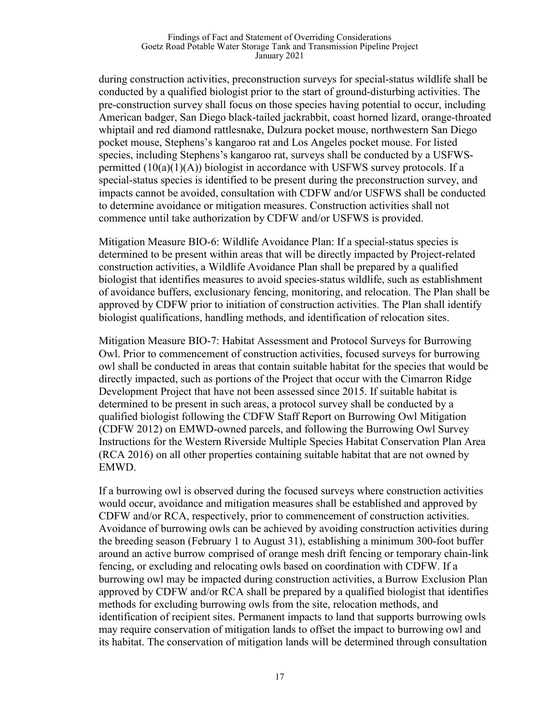#### Findings of Fact and Statement of Overriding Considerations Goetz Road Potable Water Storage Tank and Transmission Pipeline Project January 2021

during construction activities, preconstruction surveys for special-status wildlife shall be conducted by a qualified biologist prior to the start of ground-disturbing activities. The pre-construction survey shall focus on those species having potential to occur, including American badger, San Diego black-tailed jackrabbit, coast horned lizard, orange-throated whiptail and red diamond rattlesnake, Dulzura pocket mouse, northwestern San Diego pocket mouse, Stephens's kangaroo rat and Los Angeles pocket mouse. For listed species, including Stephens's kangaroo rat, surveys shall be conducted by a USFWSpermitted  $(10(a)(1)(A))$  biologist in accordance with USFWS survey protocols. If a special-status species is identified to be present during the preconstruction survey, and impacts cannot be avoided, consultation with CDFW and/or USFWS shall be conducted to determine avoidance or mitigation measures. Construction activities shall not commence until take authorization by CDFW and/or USFWS is provided.

Mitigation Measure BIO-6: Wildlife Avoidance Plan: If a special-status species is determined to be present within areas that will be directly impacted by Project-related construction activities, a Wildlife Avoidance Plan shall be prepared by a qualified biologist that identifies measures to avoid species-status wildlife, such as establishment of avoidance buffers, exclusionary fencing, monitoring, and relocation. The Plan shall be approved by CDFW prior to initiation of construction activities. The Plan shall identify biologist qualifications, handling methods, and identification of relocation sites.

Mitigation Measure BIO-7: Habitat Assessment and Protocol Surveys for Burrowing Owl. Prior to commencement of construction activities, focused surveys for burrowing owl shall be conducted in areas that contain suitable habitat for the species that would be directly impacted, such as portions of the Project that occur with the Cimarron Ridge Development Project that have not been assessed since 2015. If suitable habitat is determined to be present in such areas, a protocol survey shall be conducted by a qualified biologist following the CDFW Staff Report on Burrowing Owl Mitigation (CDFW 2012) on EMWD-owned parcels, and following the Burrowing Owl Survey Instructions for the Western Riverside Multiple Species Habitat Conservation Plan Area (RCA 2016) on all other properties containing suitable habitat that are not owned by EMWD.

If a burrowing owl is observed during the focused surveys where construction activities would occur, avoidance and mitigation measures shall be established and approved by CDFW and/or RCA, respectively, prior to commencement of construction activities. Avoidance of burrowing owls can be achieved by avoiding construction activities during the breeding season (February 1 to August 31), establishing a minimum 300-foot buffer around an active burrow comprised of orange mesh drift fencing or temporary chain-link fencing, or excluding and relocating owls based on coordination with CDFW. If a burrowing owl may be impacted during construction activities, a Burrow Exclusion Plan approved by CDFW and/or RCA shall be prepared by a qualified biologist that identifies methods for excluding burrowing owls from the site, relocation methods, and identification of recipient sites. Permanent impacts to land that supports burrowing owls may require conservation of mitigation lands to offset the impact to burrowing owl and its habitat. The conservation of mitigation lands will be determined through consultation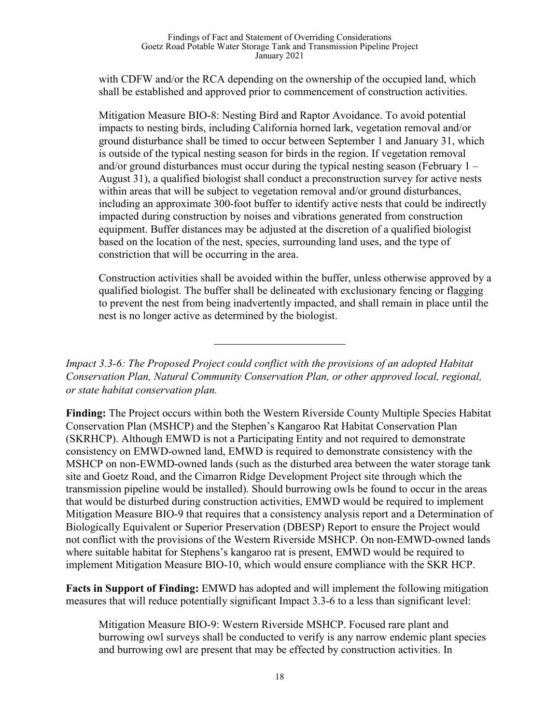with CDFW and/or the RCA depending on the ownership of the occupied land, which shall be established and approved prior to commencement of construction activities.

Mitigation Measure BIO-8: Nesting Bird and Raptor Avoidance. To avoid potential impacts to nesting birds, including California horned lark, vegetation removal and/or ground disturbance shall be timed to occur between September 1 and January 31, which is outside of the typical nesting season for birds in the region. If vegetation removal and/or ground disturbances must occur during the typical nesting season (February 1 – August 31), a qualified biologist shall conduct a preconstruction survey for active nests within areas that will be subject to vegetation removal and/or ground disturbances, including an approximate 300-foot buffer to identify active nests that could be indirectly impacted during construction by noises and vibrations generated from construction equipment. Buffer distances may be adjusted at the discretion of a qualified biologist based on the location of the nest, species, surrounding land uses, and the type of constriction that will be occurring in the area.

Construction activities shall be avoided within the buffer, unless otherwise approved by a qualified biologist. The buffer shall be delineated with exclusionary fencing or flagging to prevent the nest from being inadvertently impacted, and shall remain in place until the nest is no longer active as determined by the biologist.

*Impact 3.3-6: The Proposed Project could conflict with the provisions of an adopted Habitat Conservation Plan, Natural Community Conservation Plan, or other approved local, regional, or state habitat conservation plan.*

**Finding:** The Project occurs within both the Western Riverside County Multiple Species Habitat Conservation Plan (MSHCP) and the Stephen's Kangaroo Rat Habitat Conservation Plan (SKRHCP). Although EMWD is not a Participating Entity and not required to demonstrate consistency on EMWD-owned land, EMWD is required to demonstrate consistency with the MSHCP on non-EWMD-owned lands (such as the disturbed area between the water storage tank site and Goetz Road, and the Cimarron Ridge Development Project site through which the transmission pipeline would be installed). Should burrowing owls be found to occur in the areas that would be disturbed during construction activities, EMWD would be required to implement Mitigation Measure BIO-9 that requires that a consistency analysis report and a Determination of Biologically Equivalent or Superior Preservation (DBESP) Report to ensure the Project would not conflict with the provisions of the Western Riverside MSHCP. On non-EMWD-owned lands where suitable habitat for Stephens's kangaroo rat is present, EMWD would be required to implement Mitigation Measure BIO-10, which would ensure compliance with the SKR HCP.

**Facts in Support of Finding:** EMWD has adopted and will implement the following mitigation measures that will reduce potentially significant Impact 3.3-6 to a less than significant level:

Mitigation Measure BIO-9: Western Riverside MSHCP. Focused rare plant and burrowing owl surveys shall be conducted to verify is any narrow endemic plant species and burrowing owl are present that may be effected by construction activities. In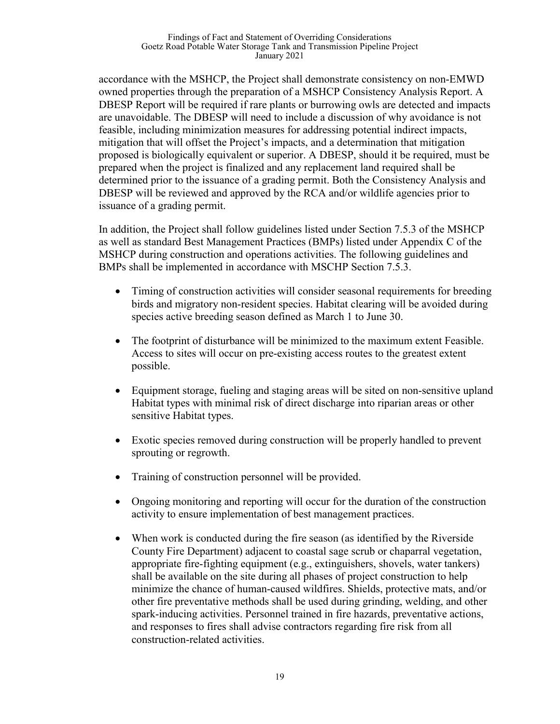accordance with the MSHCP, the Project shall demonstrate consistency on non-EMWD owned properties through the preparation of a MSHCP Consistency Analysis Report. A DBESP Report will be required if rare plants or burrowing owls are detected and impacts are unavoidable. The DBESP will need to include a discussion of why avoidance is not feasible, including minimization measures for addressing potential indirect impacts, mitigation that will offset the Project's impacts, and a determination that mitigation proposed is biologically equivalent or superior. A DBESP, should it be required, must be prepared when the project is finalized and any replacement land required shall be determined prior to the issuance of a grading permit. Both the Consistency Analysis and DBESP will be reviewed and approved by the RCA and/or wildlife agencies prior to issuance of a grading permit.

In addition, the Project shall follow guidelines listed under Section 7.5.3 of the MSHCP as well as standard Best Management Practices (BMPs) listed under Appendix C of the MSHCP during construction and operations activities. The following guidelines and BMPs shall be implemented in accordance with MSCHP Section 7.5.3.

- Timing of construction activities will consider seasonal requirements for breeding birds and migratory non-resident species. Habitat clearing will be avoided during species active breeding season defined as March 1 to June 30.
- The footprint of disturbance will be minimized to the maximum extent Feasible. Access to sites will occur on pre-existing access routes to the greatest extent possible.
- Equipment storage, fueling and staging areas will be sited on non-sensitive upland Habitat types with minimal risk of direct discharge into riparian areas or other sensitive Habitat types.
- Exotic species removed during construction will be properly handled to prevent sprouting or regrowth.
- Training of construction personnel will be provided.
- Ongoing monitoring and reporting will occur for the duration of the construction activity to ensure implementation of best management practices.
- When work is conducted during the fire season (as identified by the Riverside County Fire Department) adjacent to coastal sage scrub or chaparral vegetation, appropriate fire-fighting equipment (e.g., extinguishers, shovels, water tankers) shall be available on the site during all phases of project construction to help minimize the chance of human-caused wildfires. Shields, protective mats, and/or other fire preventative methods shall be used during grinding, welding, and other spark-inducing activities. Personnel trained in fire hazards, preventative actions, and responses to fires shall advise contractors regarding fire risk from all construction-related activities.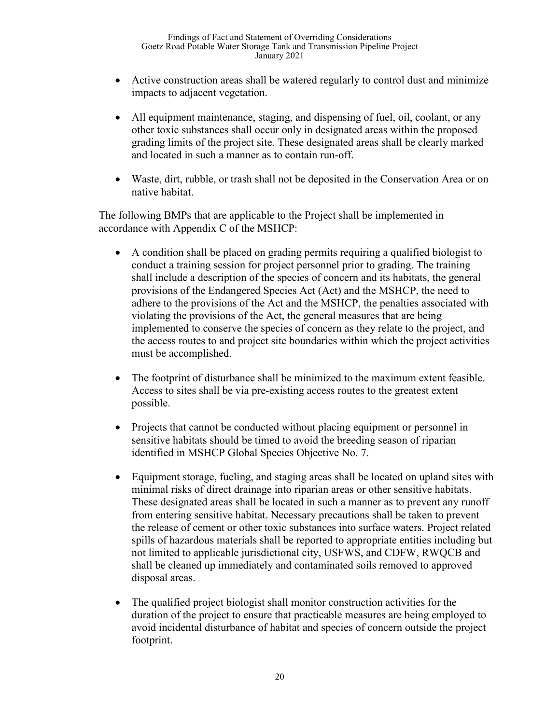- Active construction areas shall be watered regularly to control dust and minimize impacts to adjacent vegetation.
- All equipment maintenance, staging, and dispensing of fuel, oil, coolant, or any other toxic substances shall occur only in designated areas within the proposed grading limits of the project site. These designated areas shall be clearly marked and located in such a manner as to contain run-off.
- Waste, dirt, rubble, or trash shall not be deposited in the Conservation Area or on native habitat.

The following BMPs that are applicable to the Project shall be implemented in accordance with Appendix C of the MSHCP:

- A condition shall be placed on grading permits requiring a qualified biologist to conduct a training session for project personnel prior to grading. The training shall include a description of the species of concern and its habitats, the general provisions of the Endangered Species Act (Act) and the MSHCP, the need to adhere to the provisions of the Act and the MSHCP, the penalties associated with violating the provisions of the Act, the general measures that are being implemented to conserve the species of concern as they relate to the project, and the access routes to and project site boundaries within which the project activities must be accomplished.
- The footprint of disturbance shall be minimized to the maximum extent feasible. Access to sites shall be via pre-existing access routes to the greatest extent possible.
- Projects that cannot be conducted without placing equipment or personnel in sensitive habitats should be timed to avoid the breeding season of riparian identified in MSHCP Global Species Objective No. 7.
- Equipment storage, fueling, and staging areas shall be located on upland sites with minimal risks of direct drainage into riparian areas or other sensitive habitats. These designated areas shall be located in such a manner as to prevent any runoff from entering sensitive habitat. Necessary precautions shall be taken to prevent the release of cement or other toxic substances into surface waters. Project related spills of hazardous materials shall be reported to appropriate entities including but not limited to applicable jurisdictional city, USFWS, and CDFW, RWQCB and shall be cleaned up immediately and contaminated soils removed to approved disposal areas.
- The qualified project biologist shall monitor construction activities for the duration of the project to ensure that practicable measures are being employed to avoid incidental disturbance of habitat and species of concern outside the project footprint.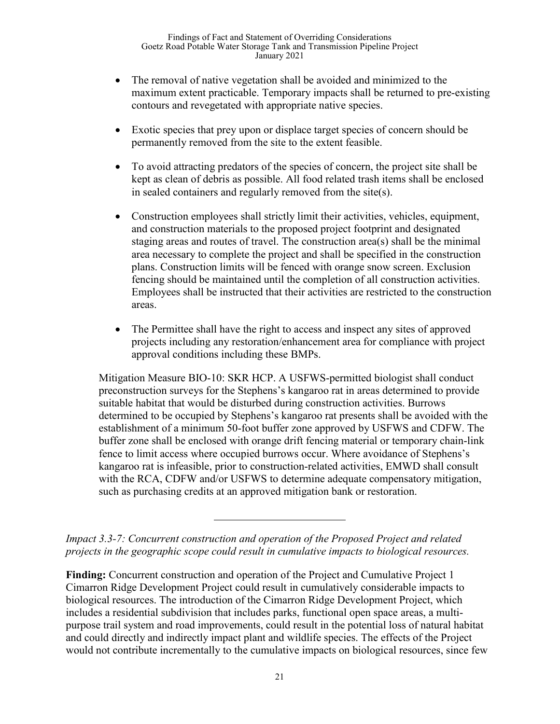- The removal of native vegetation shall be avoided and minimized to the maximum extent practicable. Temporary impacts shall be returned to pre-existing contours and revegetated with appropriate native species.
- Exotic species that prey upon or displace target species of concern should be permanently removed from the site to the extent feasible.
- To avoid attracting predators of the species of concern, the project site shall be kept as clean of debris as possible. All food related trash items shall be enclosed in sealed containers and regularly removed from the site(s).
- Construction employees shall strictly limit their activities, vehicles, equipment, and construction materials to the proposed project footprint and designated staging areas and routes of travel. The construction area(s) shall be the minimal area necessary to complete the project and shall be specified in the construction plans. Construction limits will be fenced with orange snow screen. Exclusion fencing should be maintained until the completion of all construction activities. Employees shall be instructed that their activities are restricted to the construction areas.
- The Permittee shall have the right to access and inspect any sites of approved projects including any restoration/enhancement area for compliance with project approval conditions including these BMPs.

Mitigation Measure BIO-10: SKR HCP. A USFWS-permitted biologist shall conduct preconstruction surveys for the Stephens's kangaroo rat in areas determined to provide suitable habitat that would be disturbed during construction activities. Burrows determined to be occupied by Stephens's kangaroo rat presents shall be avoided with the establishment of a minimum 50-foot buffer zone approved by USFWS and CDFW. The buffer zone shall be enclosed with orange drift fencing material or temporary chain-link fence to limit access where occupied burrows occur. Where avoidance of Stephens's kangaroo rat is infeasible, prior to construction-related activities, EMWD shall consult with the RCA, CDFW and/or USFWS to determine adequate compensatory mitigation, such as purchasing credits at an approved mitigation bank or restoration.

*Impact 3.3-7: Concurrent construction and operation of the Proposed Project and related projects in the geographic scope could result in cumulative impacts to biological resources.* 

**Finding:** Concurrent construction and operation of the Project and Cumulative Project 1 Cimarron Ridge Development Project could result in cumulatively considerable impacts to biological resources. The introduction of the Cimarron Ridge Development Project, which includes a residential subdivision that includes parks, functional open space areas, a multipurpose trail system and road improvements, could result in the potential loss of natural habitat and could directly and indirectly impact plant and wildlife species. The effects of the Project would not contribute incrementally to the cumulative impacts on biological resources, since few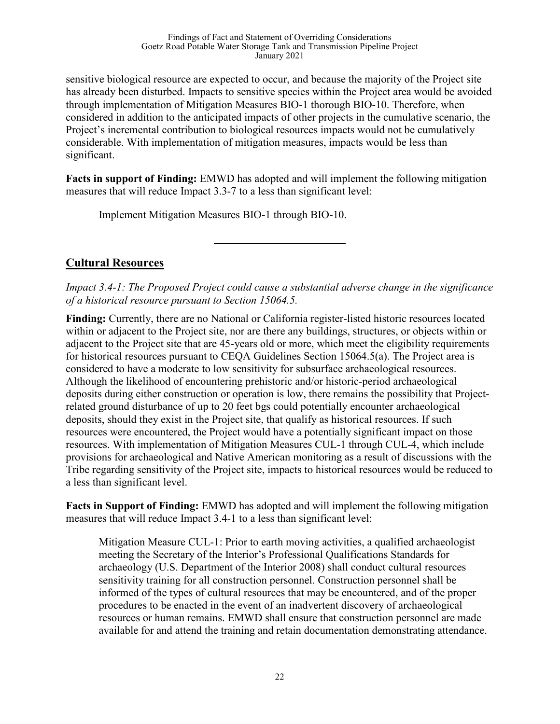sensitive biological resource are expected to occur, and because the majority of the Project site has already been disturbed. Impacts to sensitive species within the Project area would be avoided through implementation of Mitigation Measures BIO-1 thorough BIO-10. Therefore, when considered in addition to the anticipated impacts of other projects in the cumulative scenario, the Project's incremental contribution to biological resources impacts would not be cumulatively considerable. With implementation of mitigation measures, impacts would be less than significant.

**Facts in support of Finding:** EMWD has adopted and will implement the following mitigation measures that will reduce Impact 3.3-7 to a less than significant level:

Implement Mitigation Measures BIO-1 through BIO-10.

# **Cultural Resources**

*Impact 3.4-1: The Proposed Project could cause a substantial adverse change in the significance of a historical resource pursuant to Section 15064.5.*

**Finding:** Currently, there are no National or California register-listed historic resources located within or adjacent to the Project site, nor are there any buildings, structures, or objects within or adjacent to the Project site that are 45-years old or more, which meet the eligibility requirements for historical resources pursuant to CEQA Guidelines Section 15064.5(a). The Project area is considered to have a moderate to low sensitivity for subsurface archaeological resources. Although the likelihood of encountering prehistoric and/or historic-period archaeological deposits during either construction or operation is low, there remains the possibility that Projectrelated ground disturbance of up to 20 feet bgs could potentially encounter archaeological deposits, should they exist in the Project site, that qualify as historical resources. If such resources were encountered, the Project would have a potentially significant impact on those resources. With implementation of Mitigation Measures CUL-1 through CUL-4, which include provisions for archaeological and Native American monitoring as a result of discussions with the Tribe regarding sensitivity of the Project site, impacts to historical resources would be reduced to a less than significant level.

**Facts in Support of Finding:** EMWD has adopted and will implement the following mitigation measures that will reduce Impact 3.4-1 to a less than significant level:

Mitigation Measure CUL-1: Prior to earth moving activities, a qualified archaeologist meeting the Secretary of the Interior's Professional Qualifications Standards for archaeology (U.S. Department of the Interior 2008) shall conduct cultural resources sensitivity training for all construction personnel. Construction personnel shall be informed of the types of cultural resources that may be encountered, and of the proper procedures to be enacted in the event of an inadvertent discovery of archaeological resources or human remains. EMWD shall ensure that construction personnel are made available for and attend the training and retain documentation demonstrating attendance.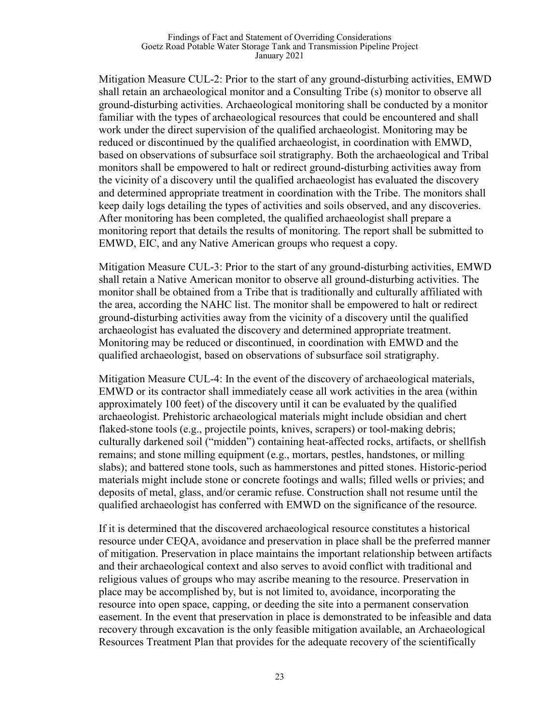#### Findings of Fact and Statement of Overriding Considerations Goetz Road Potable Water Storage Tank and Transmission Pipeline Project January 2021

Mitigation Measure CUL-2: Prior to the start of any ground-disturbing activities, EMWD shall retain an archaeological monitor and a Consulting Tribe (s) monitor to observe all ground-disturbing activities. Archaeological monitoring shall be conducted by a monitor familiar with the types of archaeological resources that could be encountered and shall work under the direct supervision of the qualified archaeologist. Monitoring may be reduced or discontinued by the qualified archaeologist, in coordination with EMWD, based on observations of subsurface soil stratigraphy. Both the archaeological and Tribal monitors shall be empowered to halt or redirect ground-disturbing activities away from the vicinity of a discovery until the qualified archaeologist has evaluated the discovery and determined appropriate treatment in coordination with the Tribe. The monitors shall keep daily logs detailing the types of activities and soils observed, and any discoveries. After monitoring has been completed, the qualified archaeologist shall prepare a monitoring report that details the results of monitoring. The report shall be submitted to EMWD, EIC, and any Native American groups who request a copy.

Mitigation Measure CUL-3: Prior to the start of any ground-disturbing activities, EMWD shall retain a Native American monitor to observe all ground-disturbing activities. The monitor shall be obtained from a Tribe that is traditionally and culturally affiliated with the area, according the NAHC list. The monitor shall be empowered to halt or redirect ground-disturbing activities away from the vicinity of a discovery until the qualified archaeologist has evaluated the discovery and determined appropriate treatment. Monitoring may be reduced or discontinued, in coordination with EMWD and the qualified archaeologist, based on observations of subsurface soil stratigraphy.

Mitigation Measure CUL-4: In the event of the discovery of archaeological materials, EMWD or its contractor shall immediately cease all work activities in the area (within approximately 100 feet) of the discovery until it can be evaluated by the qualified archaeologist. Prehistoric archaeological materials might include obsidian and chert flaked-stone tools (e.g., projectile points, knives, scrapers) or tool-making debris; culturally darkened soil ("midden") containing heat-affected rocks, artifacts, or shellfish remains; and stone milling equipment (e.g., mortars, pestles, handstones, or milling slabs); and battered stone tools, such as hammerstones and pitted stones. Historic-period materials might include stone or concrete footings and walls; filled wells or privies; and deposits of metal, glass, and/or ceramic refuse. Construction shall not resume until the qualified archaeologist has conferred with EMWD on the significance of the resource.

If it is determined that the discovered archaeological resource constitutes a historical resource under CEQA, avoidance and preservation in place shall be the preferred manner of mitigation. Preservation in place maintains the important relationship between artifacts and their archaeological context and also serves to avoid conflict with traditional and religious values of groups who may ascribe meaning to the resource. Preservation in place may be accomplished by, but is not limited to, avoidance, incorporating the resource into open space, capping, or deeding the site into a permanent conservation easement. In the event that preservation in place is demonstrated to be infeasible and data recovery through excavation is the only feasible mitigation available, an Archaeological Resources Treatment Plan that provides for the adequate recovery of the scientifically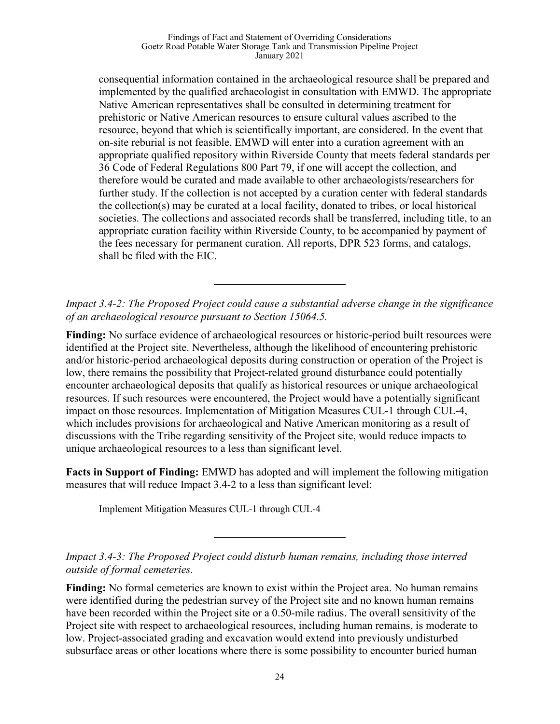#### Findings of Fact and Statement of Overriding Considerations Goetz Road Potable Water Storage Tank and Transmission Pipeline Project January 2021

consequential information contained in the archaeological resource shall be prepared and implemented by the qualified archaeologist in consultation with EMWD. The appropriate Native American representatives shall be consulted in determining treatment for prehistoric or Native American resources to ensure cultural values ascribed to the resource, beyond that which is scientifically important, are considered. In the event that on-site reburial is not feasible, EMWD will enter into a curation agreement with an appropriate qualified repository within Riverside County that meets federal standards per 36 Code of Federal Regulations 800 Part 79, if one will accept the collection, and therefore would be curated and made available to other archaeologists/researchers for further study. If the collection is not accepted by a curation center with federal standards the collection(s) may be curated at a local facility, donated to tribes, or local historical societies. The collections and associated records shall be transferred, including title, to an appropriate curation facility within Riverside County, to be accompanied by payment of the fees necessary for permanent curation. All reports, DPR 523 forms, and catalogs, shall be filed with the EIC.

*Impact 3.4-2: The Proposed Project could cause a substantial adverse change in the significance of an archaeological resource pursuant to Section 15064.5.*

**Finding:** No surface evidence of archaeological resources or historic-period built resources were identified at the Project site. Nevertheless, although the likelihood of encountering prehistoric and/or historic-period archaeological deposits during construction or operation of the Project is low, there remains the possibility that Project-related ground disturbance could potentially encounter archaeological deposits that qualify as historical resources or unique archaeological resources. If such resources were encountered, the Project would have a potentially significant impact on those resources. Implementation of Mitigation Measures CUL-1 through CUL-4, which includes provisions for archaeological and Native American monitoring as a result of discussions with the Tribe regarding sensitivity of the Project site, would reduce impacts to unique archaeological resources to a less than significant level.

**Facts in Support of Finding:** EMWD has adopted and will implement the following mitigation measures that will reduce Impact 3.4-2 to a less than significant level:

Implement Mitigation Measures CUL-1 through CUL-4

*Impact 3.4-3: The Proposed Project could disturb human remains, including those interred outside of formal cemeteries.*

**Finding:** No formal cemeteries are known to exist within the Project area. No human remains were identified during the pedestrian survey of the Project site and no known human remains have been recorded within the Project site or a 0.50-mile radius. The overall sensitivity of the Project site with respect to archaeological resources, including human remains, is moderate to low. Project-associated grading and excavation would extend into previously undisturbed subsurface areas or other locations where there is some possibility to encounter buried human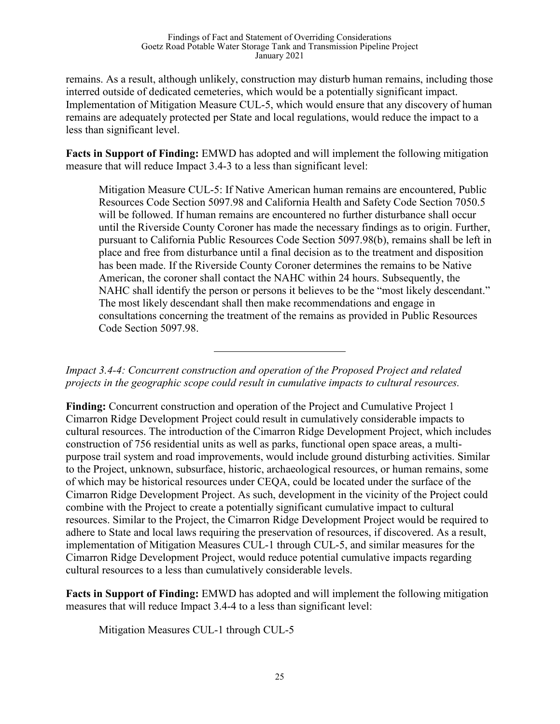remains. As a result, although unlikely, construction may disturb human remains, including those interred outside of dedicated cemeteries, which would be a potentially significant impact. Implementation of Mitigation Measure CUL-5, which would ensure that any discovery of human remains are adequately protected per State and local regulations, would reduce the impact to a less than significant level.

**Facts in Support of Finding:** EMWD has adopted and will implement the following mitigation measure that will reduce Impact 3.4-3 to a less than significant level:

Mitigation Measure CUL-5: If Native American human remains are encountered, Public Resources Code Section 5097.98 and California Health and Safety Code Section 7050.5 will be followed. If human remains are encountered no further disturbance shall occur until the Riverside County Coroner has made the necessary findings as to origin. Further, pursuant to California Public Resources Code Section 5097.98(b), remains shall be left in place and free from disturbance until a final decision as to the treatment and disposition has been made. If the Riverside County Coroner determines the remains to be Native American, the coroner shall contact the NAHC within 24 hours. Subsequently, the NAHC shall identify the person or persons it believes to be the "most likely descendant." The most likely descendant shall then make recommendations and engage in consultations concerning the treatment of the remains as provided in Public Resources Code Section 5097.98.

*Impact 3.4-4: Concurrent construction and operation of the Proposed Project and related projects in the geographic scope could result in cumulative impacts to cultural resources.*

**Finding:** Concurrent construction and operation of the Project and Cumulative Project 1 Cimarron Ridge Development Project could result in cumulatively considerable impacts to cultural resources. The introduction of the Cimarron Ridge Development Project, which includes construction of 756 residential units as well as parks, functional open space areas, a multipurpose trail system and road improvements, would include ground disturbing activities. Similar to the Project, unknown, subsurface, historic, archaeological resources, or human remains, some of which may be historical resources under CEQA, could be located under the surface of the Cimarron Ridge Development Project. As such, development in the vicinity of the Project could combine with the Project to create a potentially significant cumulative impact to cultural resources. Similar to the Project, the Cimarron Ridge Development Project would be required to adhere to State and local laws requiring the preservation of resources, if discovered. As a result, implementation of Mitigation Measures CUL-1 through CUL-5, and similar measures for the Cimarron Ridge Development Project, would reduce potential cumulative impacts regarding cultural resources to a less than cumulatively considerable levels.

**Facts in Support of Finding:** EMWD has adopted and will implement the following mitigation measures that will reduce Impact 3.4-4 to a less than significant level:

Mitigation Measures CUL-1 through CUL-5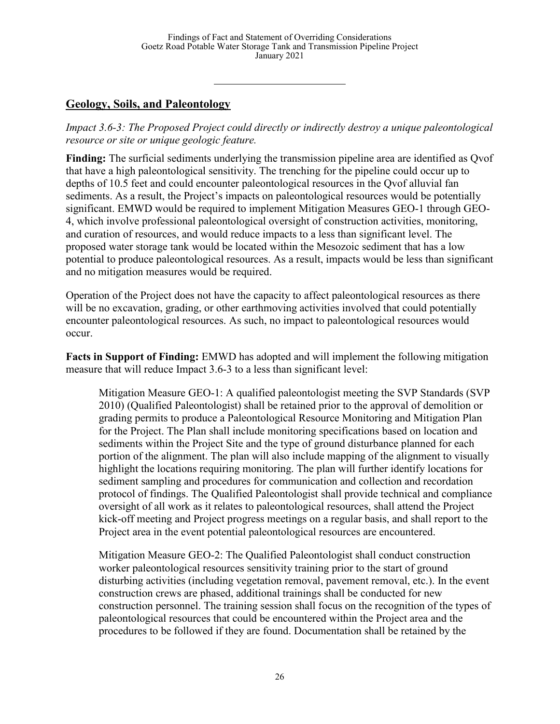# **Geology, Soils, and Paleontology**

*Impact 3.6-3: The Proposed Project could directly or indirectly destroy a unique paleontological resource or site or unique geologic feature.*

**Finding:** The surficial sediments underlying the transmission pipeline area are identified as Qvof that have a high paleontological sensitivity. The trenching for the pipeline could occur up to depths of 10.5 feet and could encounter paleontological resources in the Qvof alluvial fan sediments. As a result, the Project's impacts on paleontological resources would be potentially significant. EMWD would be required to implement Mitigation Measures GEO-1 through GEO-4, which involve professional paleontological oversight of construction activities, monitoring, and curation of resources, and would reduce impacts to a less than significant level. The proposed water storage tank would be located within the Mesozoic sediment that has a low potential to produce paleontological resources. As a result, impacts would be less than significant and no mitigation measures would be required.

Operation of the Project does not have the capacity to affect paleontological resources as there will be no excavation, grading, or other earthmoving activities involved that could potentially encounter paleontological resources. As such, no impact to paleontological resources would occur.

**Facts in Support of Finding:** EMWD has adopted and will implement the following mitigation measure that will reduce Impact 3.6-3 to a less than significant level:

Mitigation Measure GEO-1: A qualified paleontologist meeting the SVP Standards (SVP 2010) (Qualified Paleontologist) shall be retained prior to the approval of demolition or grading permits to produce a Paleontological Resource Monitoring and Mitigation Plan for the Project. The Plan shall include monitoring specifications based on location and sediments within the Project Site and the type of ground disturbance planned for each portion of the alignment. The plan will also include mapping of the alignment to visually highlight the locations requiring monitoring. The plan will further identify locations for sediment sampling and procedures for communication and collection and recordation protocol of findings. The Qualified Paleontologist shall provide technical and compliance oversight of all work as it relates to paleontological resources, shall attend the Project kick-off meeting and Project progress meetings on a regular basis, and shall report to the Project area in the event potential paleontological resources are encountered.

Mitigation Measure GEO-2: The Qualified Paleontologist shall conduct construction worker paleontological resources sensitivity training prior to the start of ground disturbing activities (including vegetation removal, pavement removal, etc.). In the event construction crews are phased, additional trainings shall be conducted for new construction personnel. The training session shall focus on the recognition of the types of paleontological resources that could be encountered within the Project area and the procedures to be followed if they are found. Documentation shall be retained by the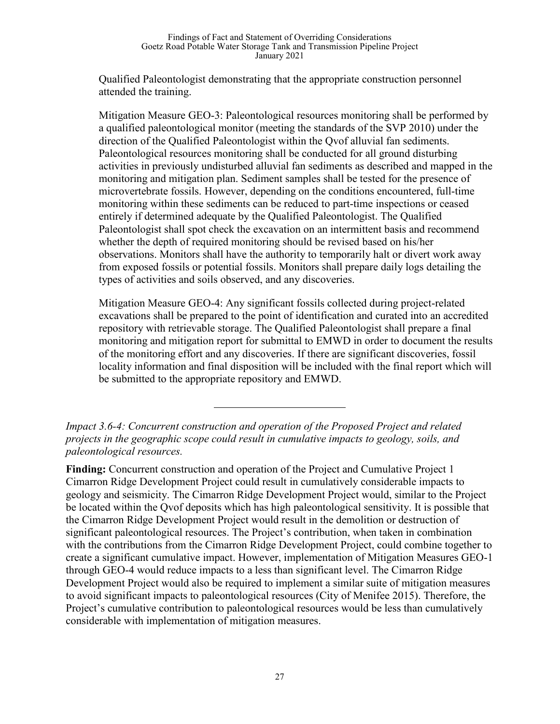Qualified Paleontologist demonstrating that the appropriate construction personnel attended the training.

Mitigation Measure GEO-3: Paleontological resources monitoring shall be performed by a qualified paleontological monitor (meeting the standards of the SVP 2010) under the direction of the Qualified Paleontologist within the Qvof alluvial fan sediments. Paleontological resources monitoring shall be conducted for all ground disturbing activities in previously undisturbed alluvial fan sediments as described and mapped in the monitoring and mitigation plan. Sediment samples shall be tested for the presence of microvertebrate fossils. However, depending on the conditions encountered, full-time monitoring within these sediments can be reduced to part-time inspections or ceased entirely if determined adequate by the Qualified Paleontologist. The Qualified Paleontologist shall spot check the excavation on an intermittent basis and recommend whether the depth of required monitoring should be revised based on his/her observations. Monitors shall have the authority to temporarily halt or divert work away from exposed fossils or potential fossils. Monitors shall prepare daily logs detailing the types of activities and soils observed, and any discoveries.

Mitigation Measure GEO-4: Any significant fossils collected during project-related excavations shall be prepared to the point of identification and curated into an accredited repository with retrievable storage. The Qualified Paleontologist shall prepare a final monitoring and mitigation report for submittal to EMWD in order to document the results of the monitoring effort and any discoveries. If there are significant discoveries, fossil locality information and final disposition will be included with the final report which will be submitted to the appropriate repository and EMWD.

**Finding:** Concurrent construction and operation of the Project and Cumulative Project 1 Cimarron Ridge Development Project could result in cumulatively considerable impacts to geology and seismicity. The Cimarron Ridge Development Project would, similar to the Project be located within the Qvof deposits which has high paleontological sensitivity. It is possible that the Cimarron Ridge Development Project would result in the demolition or destruction of significant paleontological resources. The Project's contribution, when taken in combination with the contributions from the Cimarron Ridge Development Project, could combine together to create a significant cumulative impact. However, implementation of Mitigation Measures GEO-1 through GEO-4 would reduce impacts to a less than significant level. The Cimarron Ridge Development Project would also be required to implement a similar suite of mitigation measures to avoid significant impacts to paleontological resources (City of Menifee 2015). Therefore, the Project's cumulative contribution to paleontological resources would be less than cumulatively considerable with implementation of mitigation measures.

*Impact 3.6-4: Concurrent construction and operation of the Proposed Project and related projects in the geographic scope could result in cumulative impacts to geology, soils, and paleontological resources.*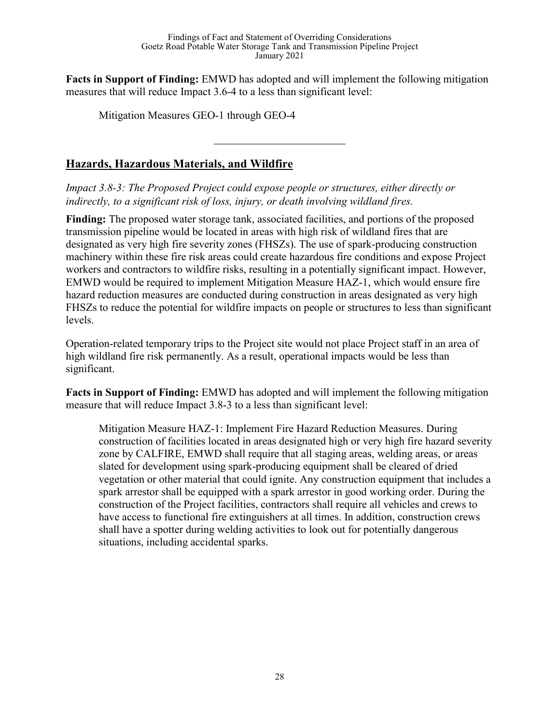**Facts in Support of Finding:** EMWD has adopted and will implement the following mitigation measures that will reduce Impact 3.6-4 to a less than significant level:

Mitigation Measures GEO-1 through GEO-4

# **Hazards, Hazardous Materials, and Wildfire**

*Impact 3.8-3: The Proposed Project could expose people or structures, either directly or indirectly, to a significant risk of loss, injury, or death involving wildland fires.*

**Finding:** The proposed water storage tank, associated facilities, and portions of the proposed transmission pipeline would be located in areas with high risk of wildland fires that are designated as very high fire severity zones (FHSZs). The use of spark-producing construction machinery within these fire risk areas could create hazardous fire conditions and expose Project workers and contractors to wildfire risks, resulting in a potentially significant impact. However, EMWD would be required to implement Mitigation Measure HAZ-1, which would ensure fire hazard reduction measures are conducted during construction in areas designated as very high FHSZs to reduce the potential for wildfire impacts on people or structures to less than significant levels.

Operation-related temporary trips to the Project site would not place Project staff in an area of high wildland fire risk permanently. As a result, operational impacts would be less than significant.

**Facts in Support of Finding:** EMWD has adopted and will implement the following mitigation measure that will reduce Impact 3.8-3 to a less than significant level:

Mitigation Measure HAZ-1: Implement Fire Hazard Reduction Measures. During construction of facilities located in areas designated high or very high fire hazard severity zone by CALFIRE, EMWD shall require that all staging areas, welding areas, or areas slated for development using spark-producing equipment shall be cleared of dried vegetation or other material that could ignite. Any construction equipment that includes a spark arrestor shall be equipped with a spark arrestor in good working order. During the construction of the Project facilities, contractors shall require all vehicles and crews to have access to functional fire extinguishers at all times. In addition, construction crews shall have a spotter during welding activities to look out for potentially dangerous situations, including accidental sparks.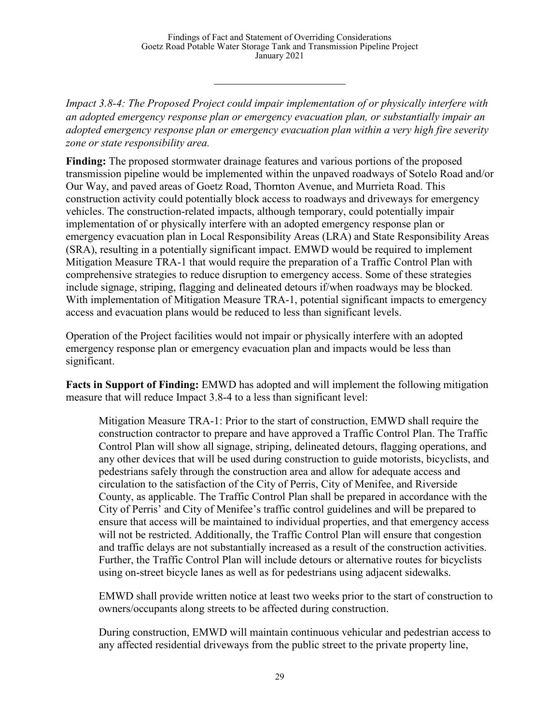*Impact 3.8-4: The Proposed Project could impair implementation of or physically interfere with an adopted emergency response plan or emergency evacuation plan, or substantially impair an adopted emergency response plan or emergency evacuation plan within a very high fire severity zone or state responsibility area.*

**Finding:** The proposed stormwater drainage features and various portions of the proposed transmission pipeline would be implemented within the unpaved roadways of Sotelo Road and/or Our Way, and paved areas of Goetz Road, Thornton Avenue, and Murrieta Road. This construction activity could potentially block access to roadways and driveways for emergency vehicles. The construction-related impacts, although temporary, could potentially impair implementation of or physically interfere with an adopted emergency response plan or emergency evacuation plan in Local Responsibility Areas (LRA) and State Responsibility Areas (SRA), resulting in a potentially significant impact. EMWD would be required to implement Mitigation Measure TRA-1 that would require the preparation of a Traffic Control Plan with comprehensive strategies to reduce disruption to emergency access. Some of these strategies include signage, striping, flagging and delineated detours if/when roadways may be blocked. With implementation of Mitigation Measure TRA-1, potential significant impacts to emergency access and evacuation plans would be reduced to less than significant levels.

Operation of the Project facilities would not impair or physically interfere with an adopted emergency response plan or emergency evacuation plan and impacts would be less than significant.

**Facts in Support of Finding:** EMWD has adopted and will implement the following mitigation measure that will reduce Impact 3.8-4 to a less than significant level:

Mitigation Measure TRA-1: Prior to the start of construction, EMWD shall require the construction contractor to prepare and have approved a Traffic Control Plan. The Traffic Control Plan will show all signage, striping, delineated detours, flagging operations, and any other devices that will be used during construction to guide motorists, bicyclists, and pedestrians safely through the construction area and allow for adequate access and circulation to the satisfaction of the City of Perris, City of Menifee, and Riverside County, as applicable. The Traffic Control Plan shall be prepared in accordance with the City of Perris' and City of Menifee's traffic control guidelines and will be prepared to ensure that access will be maintained to individual properties, and that emergency access will not be restricted. Additionally, the Traffic Control Plan will ensure that congestion and traffic delays are not substantially increased as a result of the construction activities. Further, the Traffic Control Plan will include detours or alternative routes for bicyclists using on-street bicycle lanes as well as for pedestrians using adjacent sidewalks.

EMWD shall provide written notice at least two weeks prior to the start of construction to owners/occupants along streets to be affected during construction.

During construction, EMWD will maintain continuous vehicular and pedestrian access to any affected residential driveways from the public street to the private property line,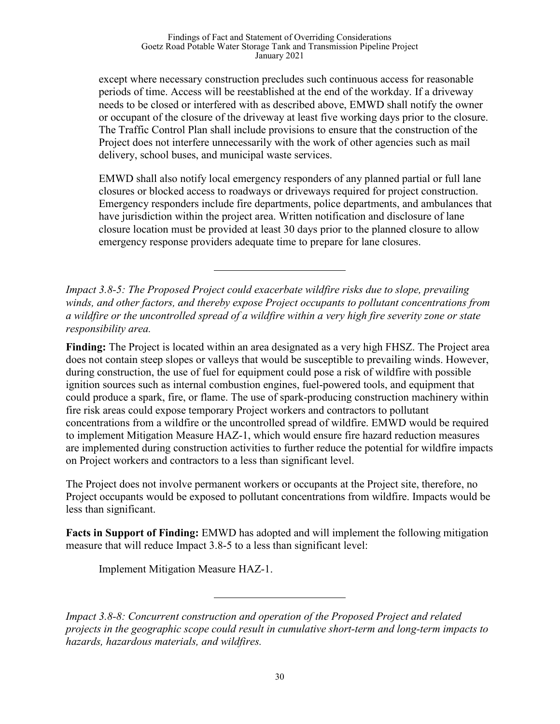except where necessary construction precludes such continuous access for reasonable periods of time. Access will be reestablished at the end of the workday. If a driveway needs to be closed or interfered with as described above, EMWD shall notify the owner or occupant of the closure of the driveway at least five working days prior to the closure. The Traffic Control Plan shall include provisions to ensure that the construction of the Project does not interfere unnecessarily with the work of other agencies such as mail delivery, school buses, and municipal waste services.

EMWD shall also notify local emergency responders of any planned partial or full lane closures or blocked access to roadways or driveways required for project construction. Emergency responders include fire departments, police departments, and ambulances that have jurisdiction within the project area. Written notification and disclosure of lane closure location must be provided at least 30 days prior to the planned closure to allow emergency response providers adequate time to prepare for lane closures.

*Impact 3.8-5: The Proposed Project could exacerbate wildfire risks due to slope, prevailing winds, and other factors, and thereby expose Project occupants to pollutant concentrations from a wildfire or the uncontrolled spread of a wildfire within a very high fire severity zone or state responsibility area.*

**Finding:** The Project is located within an area designated as a very high FHSZ. The Project area does not contain steep slopes or valleys that would be susceptible to prevailing winds. However, during construction, the use of fuel for equipment could pose a risk of wildfire with possible ignition sources such as internal combustion engines, fuel-powered tools, and equipment that could produce a spark, fire, or flame. The use of spark-producing construction machinery within fire risk areas could expose temporary Project workers and contractors to pollutant concentrations from a wildfire or the uncontrolled spread of wildfire. EMWD would be required to implement Mitigation Measure HAZ-1, which would ensure fire hazard reduction measures are implemented during construction activities to further reduce the potential for wildfire impacts on Project workers and contractors to a less than significant level.

The Project does not involve permanent workers or occupants at the Project site, therefore, no Project occupants would be exposed to pollutant concentrations from wildfire. Impacts would be less than significant.

**Facts in Support of Finding:** EMWD has adopted and will implement the following mitigation measure that will reduce Impact 3.8-5 to a less than significant level:

Implement Mitigation Measure HAZ-1.

*Impact 3.8-8: Concurrent construction and operation of the Proposed Project and related projects in the geographic scope could result in cumulative short-term and long-term impacts to hazards, hazardous materials, and wildfires.*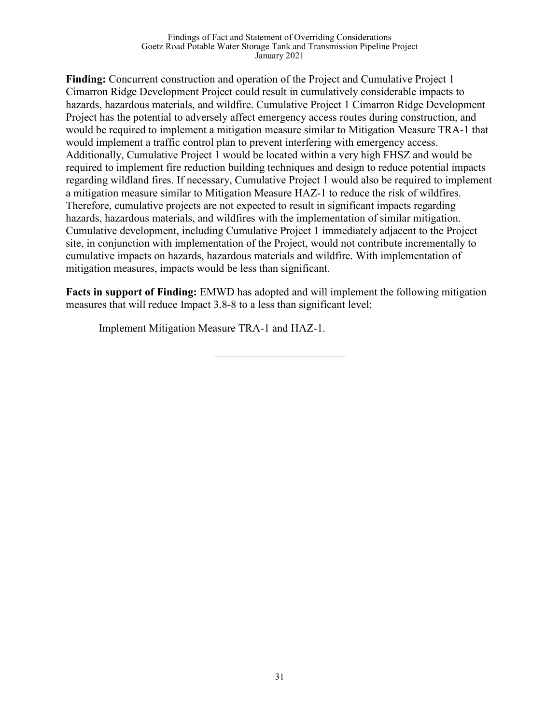**Finding:** Concurrent construction and operation of the Project and Cumulative Project 1 Cimarron Ridge Development Project could result in cumulatively considerable impacts to hazards, hazardous materials, and wildfire. Cumulative Project 1 Cimarron Ridge Development Project has the potential to adversely affect emergency access routes during construction, and would be required to implement a mitigation measure similar to Mitigation Measure TRA-1 that would implement a traffic control plan to prevent interfering with emergency access. Additionally, Cumulative Project 1 would be located within a very high FHSZ and would be required to implement fire reduction building techniques and design to reduce potential impacts regarding wildland fires. If necessary, Cumulative Project 1 would also be required to implement a mitigation measure similar to Mitigation Measure HAZ-1 to reduce the risk of wildfires. Therefore, cumulative projects are not expected to result in significant impacts regarding hazards, hazardous materials, and wildfires with the implementation of similar mitigation. Cumulative development, including Cumulative Project 1 immediately adjacent to the Project site, in conjunction with implementation of the Project, would not contribute incrementally to cumulative impacts on hazards, hazardous materials and wildfire. With implementation of mitigation measures, impacts would be less than significant.

**Facts in support of Finding:** EMWD has adopted and will implement the following mitigation measures that will reduce Impact 3.8-8 to a less than significant level:

Implement Mitigation Measure TRA-1 and HAZ-1.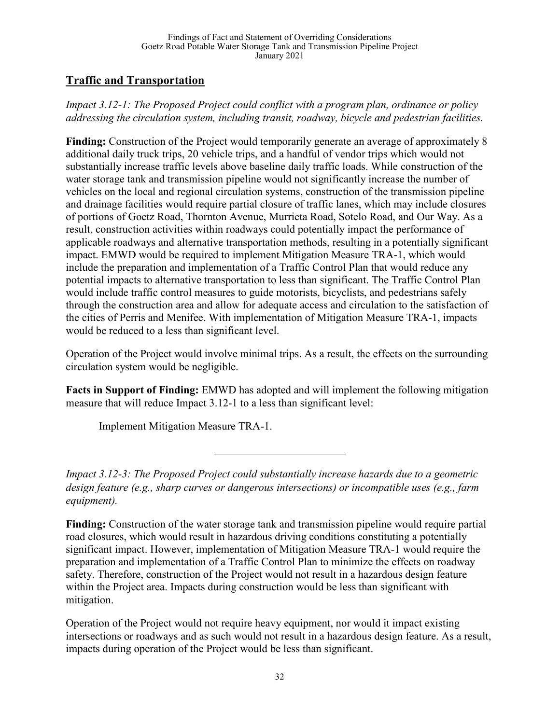# **Traffic and Transportation**

*Impact 3.12-1: The Proposed Project could conflict with a program plan, ordinance or policy addressing the circulation system, including transit, roadway, bicycle and pedestrian facilities.* 

**Finding:** Construction of the Project would temporarily generate an average of approximately 8 additional daily truck trips, 20 vehicle trips, and a handful of vendor trips which would not substantially increase traffic levels above baseline daily traffic loads. While construction of the water storage tank and transmission pipeline would not significantly increase the number of vehicles on the local and regional circulation systems, construction of the transmission pipeline and drainage facilities would require partial closure of traffic lanes, which may include closures of portions of Goetz Road, Thornton Avenue, Murrieta Road, Sotelo Road, and Our Way. As a result, construction activities within roadways could potentially impact the performance of applicable roadways and alternative transportation methods, resulting in a potentially significant impact. EMWD would be required to implement Mitigation Measure TRA-1, which would include the preparation and implementation of a Traffic Control Plan that would reduce any potential impacts to alternative transportation to less than significant. The Traffic Control Plan would include traffic control measures to guide motorists, bicyclists, and pedestrians safely through the construction area and allow for adequate access and circulation to the satisfaction of the cities of Perris and Menifee. With implementation of Mitigation Measure TRA-1, impacts would be reduced to a less than significant level.

Operation of the Project would involve minimal trips. As a result, the effects on the surrounding circulation system would be negligible.

**Facts in Support of Finding:** EMWD has adopted and will implement the following mitigation measure that will reduce Impact 3.12-1 to a less than significant level:

Implement Mitigation Measure TRA-1.

*Impact 3.12-3: The Proposed Project could substantially increase hazards due to a geometric design feature (e.g., sharp curves or dangerous intersections) or incompatible uses (e.g., farm equipment).*

**Finding:** Construction of the water storage tank and transmission pipeline would require partial road closures, which would result in hazardous driving conditions constituting a potentially significant impact. However, implementation of Mitigation Measure TRA-1 would require the preparation and implementation of a Traffic Control Plan to minimize the effects on roadway safety. Therefore, construction of the Project would not result in a hazardous design feature within the Project area. Impacts during construction would be less than significant with mitigation.

Operation of the Project would not require heavy equipment, nor would it impact existing intersections or roadways and as such would not result in a hazardous design feature. As a result, impacts during operation of the Project would be less than significant.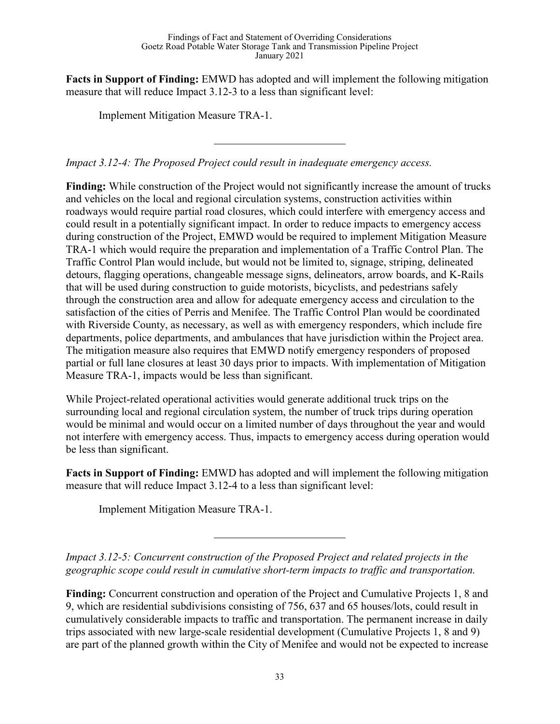**Facts in Support of Finding:** EMWD has adopted and will implement the following mitigation measure that will reduce Impact 3.12-3 to a less than significant level:

Implement Mitigation Measure TRA-1.

*Impact 3.12-4: The Proposed Project could result in inadequate emergency access.*

**Finding:** While construction of the Project would not significantly increase the amount of trucks and vehicles on the local and regional circulation systems, construction activities within roadways would require partial road closures, which could interfere with emergency access and could result in a potentially significant impact. In order to reduce impacts to emergency access during construction of the Project, EMWD would be required to implement Mitigation Measure TRA-1 which would require the preparation and implementation of a Traffic Control Plan. The Traffic Control Plan would include, but would not be limited to, signage, striping, delineated detours, flagging operations, changeable message signs, delineators, arrow boards, and K-Rails that will be used during construction to guide motorists, bicyclists, and pedestrians safely through the construction area and allow for adequate emergency access and circulation to the satisfaction of the cities of Perris and Menifee. The Traffic Control Plan would be coordinated with Riverside County, as necessary, as well as with emergency responders, which include fire departments, police departments, and ambulances that have jurisdiction within the Project area. The mitigation measure also requires that EMWD notify emergency responders of proposed partial or full lane closures at least 30 days prior to impacts. With implementation of Mitigation Measure TRA-1, impacts would be less than significant.

While Project-related operational activities would generate additional truck trips on the surrounding local and regional circulation system, the number of truck trips during operation would be minimal and would occur on a limited number of days throughout the year and would not interfere with emergency access. Thus, impacts to emergency access during operation would be less than significant.

**Facts in Support of Finding:** EMWD has adopted and will implement the following mitigation measure that will reduce Impact 3.12-4 to a less than significant level:

Implement Mitigation Measure TRA-1.

*Impact 3.12-5: Concurrent construction of the Proposed Project and related projects in the geographic scope could result in cumulative short-term impacts to traffic and transportation.* 

**Finding:** Concurrent construction and operation of the Project and Cumulative Projects 1, 8 and 9, which are residential subdivisions consisting of 756, 637 and 65 houses/lots, could result in cumulatively considerable impacts to traffic and transportation. The permanent increase in daily trips associated with new large-scale residential development (Cumulative Projects 1, 8 and 9) are part of the planned growth within the City of Menifee and would not be expected to increase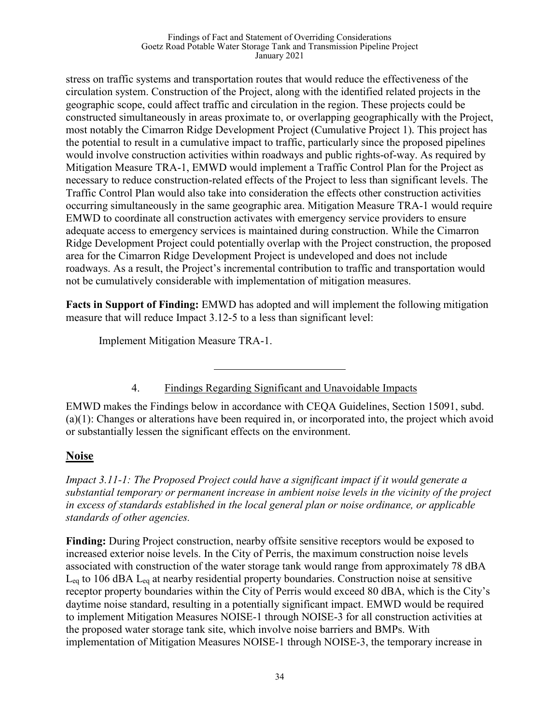#### Findings of Fact and Statement of Overriding Considerations Goetz Road Potable Water Storage Tank and Transmission Pipeline Project January 2021

stress on traffic systems and transportation routes that would reduce the effectiveness of the circulation system. Construction of the Project, along with the identified related projects in the geographic scope, could affect traffic and circulation in the region. These projects could be constructed simultaneously in areas proximate to, or overlapping geographically with the Project, most notably the Cimarron Ridge Development Project (Cumulative Project 1). This project has the potential to result in a cumulative impact to traffic, particularly since the proposed pipelines would involve construction activities within roadways and public rights-of-way. As required by Mitigation Measure TRA-1, EMWD would implement a Traffic Control Plan for the Project as necessary to reduce construction-related effects of the Project to less than significant levels. The Traffic Control Plan would also take into consideration the effects other construction activities occurring simultaneously in the same geographic area. Mitigation Measure TRA-1 would require EMWD to coordinate all construction activates with emergency service providers to ensure adequate access to emergency services is maintained during construction. While the Cimarron Ridge Development Project could potentially overlap with the Project construction, the proposed area for the Cimarron Ridge Development Project is undeveloped and does not include roadways. As a result, the Project's incremental contribution to traffic and transportation would not be cumulatively considerable with implementation of mitigation measures.

**Facts in Support of Finding:** EMWD has adopted and will implement the following mitigation measure that will reduce Impact 3.12-5 to a less than significant level:

Implement Mitigation Measure TRA-1.

4. Findings Regarding Significant and Unavoidable Impacts

EMWD makes the Findings below in accordance with CEQA Guidelines, Section 15091, subd. (a)(1): Changes or alterations have been required in, or incorporated into, the project which avoid or substantially lessen the significant effects on the environment.

# **Noise**

*Impact 3.11-1: The Proposed Project could have a significant impact if it would generate a substantial temporary or permanent increase in ambient noise levels in the vicinity of the project in excess of standards established in the local general plan or noise ordinance, or applicable standards of other agencies.* 

**Finding:** During Project construction, nearby offsite sensitive receptors would be exposed to increased exterior noise levels. In the City of Perris, the maximum construction noise levels associated with construction of the water storage tank would range from approximately 78 dBA  $L_{eq}$  to 106 dBA  $L_{eq}$  at nearby residential property boundaries. Construction noise at sensitive receptor property boundaries within the City of Perris would exceed 80 dBA, which is the City's daytime noise standard, resulting in a potentially significant impact. EMWD would be required to implement Mitigation Measures NOISE-1 through NOISE-3 for all construction activities at the proposed water storage tank site, which involve noise barriers and BMPs. With implementation of Mitigation Measures NOISE-1 through NOISE-3, the temporary increase in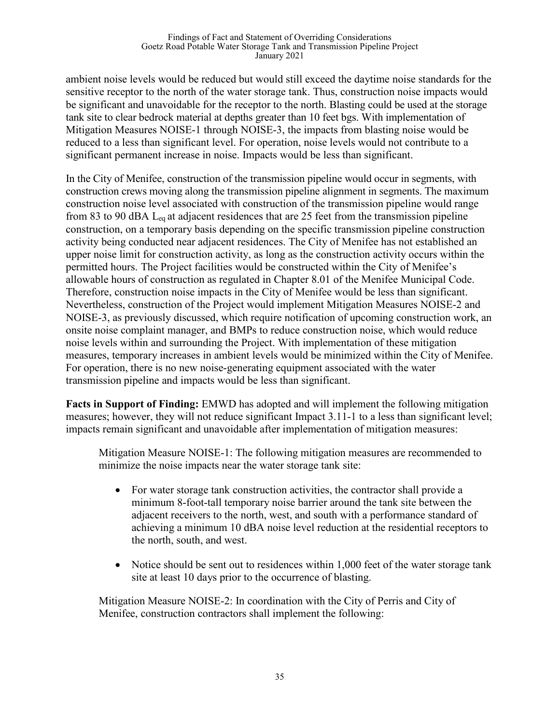ambient noise levels would be reduced but would still exceed the daytime noise standards for the sensitive receptor to the north of the water storage tank. Thus, construction noise impacts would be significant and unavoidable for the receptor to the north. Blasting could be used at the storage tank site to clear bedrock material at depths greater than 10 feet bgs. With implementation of Mitigation Measures NOISE-1 through NOISE-3, the impacts from blasting noise would be reduced to a less than significant level. For operation, noise levels would not contribute to a significant permanent increase in noise. Impacts would be less than significant.

In the City of Menifee, construction of the transmission pipeline would occur in segments, with construction crews moving along the transmission pipeline alignment in segments. The maximum construction noise level associated with construction of the transmission pipeline would range from 83 to 90 dBA Leq at adjacent residences that are 25 feet from the transmission pipeline construction, on a temporary basis depending on the specific transmission pipeline construction activity being conducted near adjacent residences. The City of Menifee has not established an upper noise limit for construction activity, as long as the construction activity occurs within the permitted hours. The Project facilities would be constructed within the City of Menifee's allowable hours of construction as regulated in Chapter 8.01 of the Menifee Municipal Code. Therefore, construction noise impacts in the City of Menifee would be less than significant. Nevertheless, construction of the Project would implement Mitigation Measures NOISE-2 and NOISE-3, as previously discussed, which require notification of upcoming construction work, an onsite noise complaint manager, and BMPs to reduce construction noise, which would reduce noise levels within and surrounding the Project. With implementation of these mitigation measures, temporary increases in ambient levels would be minimized within the City of Menifee. For operation, there is no new noise-generating equipment associated with the water transmission pipeline and impacts would be less than significant.

**Facts in Support of Finding:** EMWD has adopted and will implement the following mitigation measures; however, they will not reduce significant Impact 3.11-1 to a less than significant level; impacts remain significant and unavoidable after implementation of mitigation measures:

Mitigation Measure NOISE-1: The following mitigation measures are recommended to minimize the noise impacts near the water storage tank site:

- For water storage tank construction activities, the contractor shall provide a minimum 8-foot-tall temporary noise barrier around the tank site between the adjacent receivers to the north, west, and south with a performance standard of achieving a minimum 10 dBA noise level reduction at the residential receptors to the north, south, and west.
- Notice should be sent out to residences within 1,000 feet of the water storage tank site at least 10 days prior to the occurrence of blasting.

Mitigation Measure NOISE-2: In coordination with the City of Perris and City of Menifee, construction contractors shall implement the following: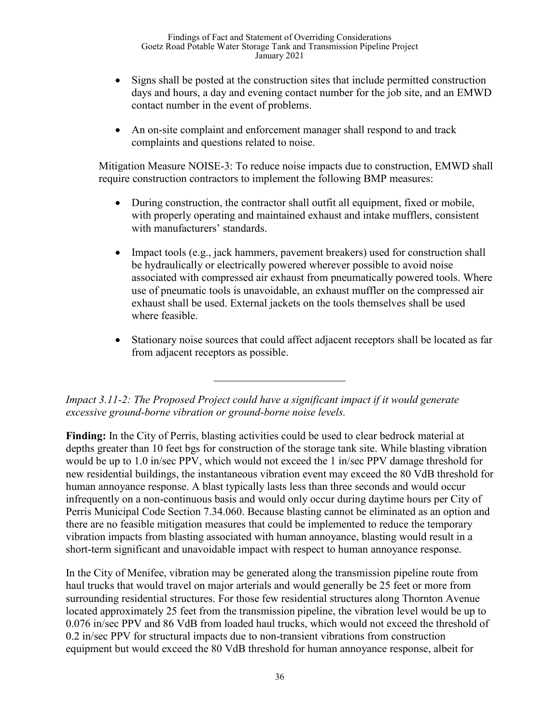- Signs shall be posted at the construction sites that include permitted construction days and hours, a day and evening contact number for the job site, and an EMWD contact number in the event of problems.
- An on-site complaint and enforcement manager shall respond to and track complaints and questions related to noise.

Mitigation Measure NOISE-3: To reduce noise impacts due to construction, EMWD shall require construction contractors to implement the following BMP measures:

- During construction, the contractor shall outfit all equipment, fixed or mobile, with properly operating and maintained exhaust and intake mufflers, consistent with manufacturers' standards.
- Impact tools (e.g., jack hammers, pavement breakers) used for construction shall be hydraulically or electrically powered wherever possible to avoid noise associated with compressed air exhaust from pneumatically powered tools. Where use of pneumatic tools is unavoidable, an exhaust muffler on the compressed air exhaust shall be used. External jackets on the tools themselves shall be used where feasible.
- Stationary noise sources that could affect adjacent receptors shall be located as far from adjacent receptors as possible.

*Impact 3.11-2: The Proposed Project could have a significant impact if it would generate excessive ground-borne vibration or ground-borne noise levels.*

**Finding:** In the City of Perris, blasting activities could be used to clear bedrock material at depths greater than 10 feet bgs for construction of the storage tank site. While blasting vibration would be up to 1.0 in/sec PPV, which would not exceed the 1 in/sec PPV damage threshold for new residential buildings, the instantaneous vibration event may exceed the 80 VdB threshold for human annoyance response. A blast typically lasts less than three seconds and would occur infrequently on a non-continuous basis and would only occur during daytime hours per City of Perris Municipal Code Section 7.34.060. Because blasting cannot be eliminated as an option and there are no feasible mitigation measures that could be implemented to reduce the temporary vibration impacts from blasting associated with human annoyance, blasting would result in a short-term significant and unavoidable impact with respect to human annoyance response.

In the City of Menifee, vibration may be generated along the transmission pipeline route from haul trucks that would travel on major arterials and would generally be 25 feet or more from surrounding residential structures. For those few residential structures along Thornton Avenue located approximately 25 feet from the transmission pipeline, the vibration level would be up to 0.076 in/sec PPV and 86 VdB from loaded haul trucks, which would not exceed the threshold of 0.2 in/sec PPV for structural impacts due to non-transient vibrations from construction equipment but would exceed the 80 VdB threshold for human annoyance response, albeit for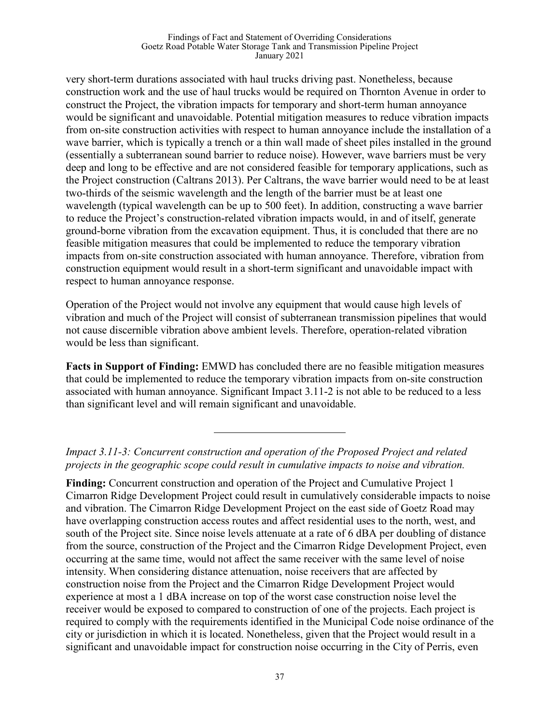#### Findings of Fact and Statement of Overriding Considerations Goetz Road Potable Water Storage Tank and Transmission Pipeline Project January 2021

very short-term durations associated with haul trucks driving past. Nonetheless, because construction work and the use of haul trucks would be required on Thornton Avenue in order to construct the Project, the vibration impacts for temporary and short-term human annoyance would be significant and unavoidable. Potential mitigation measures to reduce vibration impacts from on-site construction activities with respect to human annoyance include the installation of a wave barrier, which is typically a trench or a thin wall made of sheet piles installed in the ground (essentially a subterranean sound barrier to reduce noise). However, wave barriers must be very deep and long to be effective and are not considered feasible for temporary applications, such as the Project construction (Caltrans 2013). Per Caltrans, the wave barrier would need to be at least two-thirds of the seismic wavelength and the length of the barrier must be at least one wavelength (typical wavelength can be up to 500 feet). In addition, constructing a wave barrier to reduce the Project's construction-related vibration impacts would, in and of itself, generate ground-borne vibration from the excavation equipment. Thus, it is concluded that there are no feasible mitigation measures that could be implemented to reduce the temporary vibration impacts from on-site construction associated with human annoyance. Therefore, vibration from construction equipment would result in a short-term significant and unavoidable impact with respect to human annoyance response.

Operation of the Project would not involve any equipment that would cause high levels of vibration and much of the Project will consist of subterranean transmission pipelines that would not cause discernible vibration above ambient levels. Therefore, operation-related vibration would be less than significant.

**Facts in Support of Finding:** EMWD has concluded there are no feasible mitigation measures that could be implemented to reduce the temporary vibration impacts from on-site construction associated with human annoyance. Significant Impact 3.11-2 is not able to be reduced to a less than significant level and will remain significant and unavoidable.

*Impact 3.11-3: Concurrent construction and operation of the Proposed Project and related projects in the geographic scope could result in cumulative impacts to noise and vibration.*

**Finding:** Concurrent construction and operation of the Project and Cumulative Project 1 Cimarron Ridge Development Project could result in cumulatively considerable impacts to noise and vibration. The Cimarron Ridge Development Project on the east side of Goetz Road may have overlapping construction access routes and affect residential uses to the north, west, and south of the Project site. Since noise levels attenuate at a rate of 6 dBA per doubling of distance from the source, construction of the Project and the Cimarron Ridge Development Project, even occurring at the same time, would not affect the same receiver with the same level of noise intensity. When considering distance attenuation, noise receivers that are affected by construction noise from the Project and the Cimarron Ridge Development Project would experience at most a 1 dBA increase on top of the worst case construction noise level the receiver would be exposed to compared to construction of one of the projects. Each project is required to comply with the requirements identified in the Municipal Code noise ordinance of the city or jurisdiction in which it is located. Nonetheless, given that the Project would result in a significant and unavoidable impact for construction noise occurring in the City of Perris, even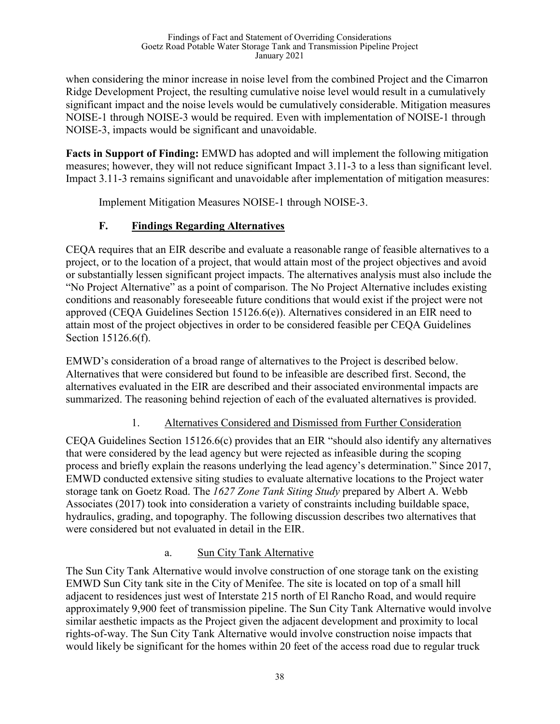when considering the minor increase in noise level from the combined Project and the Cimarron Ridge Development Project, the resulting cumulative noise level would result in a cumulatively significant impact and the noise levels would be cumulatively considerable. Mitigation measures NOISE-1 through NOISE-3 would be required. Even with implementation of NOISE-1 through NOISE-3, impacts would be significant and unavoidable.

**Facts in Support of Finding:** EMWD has adopted and will implement the following mitigation measures; however, they will not reduce significant Impact 3.11-3 to a less than significant level. Impact 3.11-3 remains significant and unavoidable after implementation of mitigation measures:

Implement Mitigation Measures NOISE-1 through NOISE-3.

# **F. Findings Regarding Alternatives**

CEQA requires that an EIR describe and evaluate a reasonable range of feasible alternatives to a project, or to the location of a project, that would attain most of the project objectives and avoid or substantially lessen significant project impacts. The alternatives analysis must also include the "No Project Alternative" as a point of comparison. The No Project Alternative includes existing conditions and reasonably foreseeable future conditions that would exist if the project were not approved (CEQA Guidelines Section 15126.6(e)). Alternatives considered in an EIR need to attain most of the project objectives in order to be considered feasible per CEQA Guidelines Section 15126.6(f).

EMWD's consideration of a broad range of alternatives to the Project is described below. Alternatives that were considered but found to be infeasible are described first. Second, the alternatives evaluated in the EIR are described and their associated environmental impacts are summarized. The reasoning behind rejection of each of the evaluated alternatives is provided.

# 1. Alternatives Considered and Dismissed from Further Consideration

CEQA Guidelines Section 15126.6(c) provides that an EIR "should also identify any alternatives that were considered by the lead agency but were rejected as infeasible during the scoping process and briefly explain the reasons underlying the lead agency's determination." Since 2017, EMWD conducted extensive siting studies to evaluate alternative locations to the Project water storage tank on Goetz Road. The *1627 Zone Tank Siting Study* prepared by Albert A. Webb Associates (2017) took into consideration a variety of constraints including buildable space, hydraulics, grading, and topography. The following discussion describes two alternatives that were considered but not evaluated in detail in the EIR.

# a. Sun City Tank Alternative

The Sun City Tank Alternative would involve construction of one storage tank on the existing EMWD Sun City tank site in the City of Menifee. The site is located on top of a small hill adjacent to residences just west of Interstate 215 north of El Rancho Road, and would require approximately 9,900 feet of transmission pipeline. The Sun City Tank Alternative would involve similar aesthetic impacts as the Project given the adjacent development and proximity to local rights-of-way. The Sun City Tank Alternative would involve construction noise impacts that would likely be significant for the homes within 20 feet of the access road due to regular truck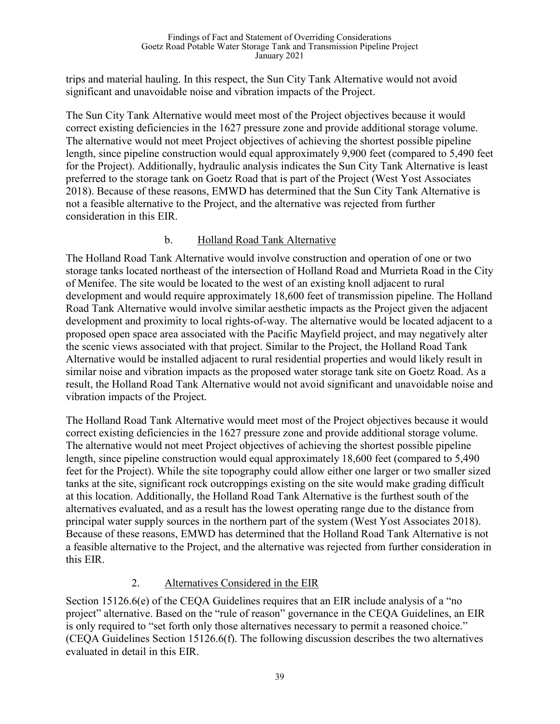trips and material hauling. In this respect, the Sun City Tank Alternative would not avoid significant and unavoidable noise and vibration impacts of the Project.

The Sun City Tank Alternative would meet most of the Project objectives because it would correct existing deficiencies in the 1627 pressure zone and provide additional storage volume. The alternative would not meet Project objectives of achieving the shortest possible pipeline length, since pipeline construction would equal approximately 9,900 feet (compared to 5,490 feet for the Project). Additionally, hydraulic analysis indicates the Sun City Tank Alternative is least preferred to the storage tank on Goetz Road that is part of the Project (West Yost Associates 2018). Because of these reasons, EMWD has determined that the Sun City Tank Alternative is not a feasible alternative to the Project, and the alternative was rejected from further consideration in this EIR.

### b. Holland Road Tank Alternative

The Holland Road Tank Alternative would involve construction and operation of one or two storage tanks located northeast of the intersection of Holland Road and Murrieta Road in the City of Menifee. The site would be located to the west of an existing knoll adjacent to rural development and would require approximately 18,600 feet of transmission pipeline. The Holland Road Tank Alternative would involve similar aesthetic impacts as the Project given the adjacent development and proximity to local rights-of-way. The alternative would be located adjacent to a proposed open space area associated with the Pacific Mayfield project, and may negatively alter the scenic views associated with that project. Similar to the Project, the Holland Road Tank Alternative would be installed adjacent to rural residential properties and would likely result in similar noise and vibration impacts as the proposed water storage tank site on Goetz Road. As a result, the Holland Road Tank Alternative would not avoid significant and unavoidable noise and vibration impacts of the Project.

The Holland Road Tank Alternative would meet most of the Project objectives because it would correct existing deficiencies in the 1627 pressure zone and provide additional storage volume. The alternative would not meet Project objectives of achieving the shortest possible pipeline length, since pipeline construction would equal approximately 18,600 feet (compared to 5,490 feet for the Project). While the site topography could allow either one larger or two smaller sized tanks at the site, significant rock outcroppings existing on the site would make grading difficult at this location. Additionally, the Holland Road Tank Alternative is the furthest south of the alternatives evaluated, and as a result has the lowest operating range due to the distance from principal water supply sources in the northern part of the system (West Yost Associates 2018). Because of these reasons, EMWD has determined that the Holland Road Tank Alternative is not a feasible alternative to the Project, and the alternative was rejected from further consideration in this EIR.

### 2. Alternatives Considered in the EIR

Section 15126.6(e) of the CEQA Guidelines requires that an EIR include analysis of a "no project" alternative. Based on the "rule of reason" governance in the CEQA Guidelines, an EIR is only required to "set forth only those alternatives necessary to permit a reasoned choice." (CEQA Guidelines Section 15126.6(f). The following discussion describes the two alternatives evaluated in detail in this EIR.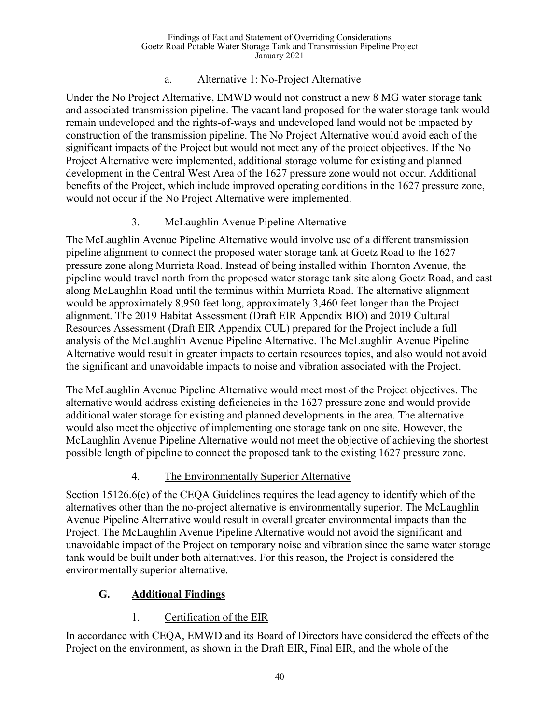### a. Alternative 1: No-Project Alternative

Under the No Project Alternative, EMWD would not construct a new 8 MG water storage tank and associated transmission pipeline. The vacant land proposed for the water storage tank would remain undeveloped and the rights-of-ways and undeveloped land would not be impacted by construction of the transmission pipeline. The No Project Alternative would avoid each of the significant impacts of the Project but would not meet any of the project objectives. If the No Project Alternative were implemented, additional storage volume for existing and planned development in the Central West Area of the 1627 pressure zone would not occur. Additional benefits of the Project, which include improved operating conditions in the 1627 pressure zone, would not occur if the No Project Alternative were implemented.

# 3. McLaughlin Avenue Pipeline Alternative

The McLaughlin Avenue Pipeline Alternative would involve use of a different transmission pipeline alignment to connect the proposed water storage tank at Goetz Road to the 1627 pressure zone along Murrieta Road. Instead of being installed within Thornton Avenue, the pipeline would travel north from the proposed water storage tank site along Goetz Road, and east along McLaughlin Road until the terminus within Murrieta Road. The alternative alignment would be approximately 8,950 feet long, approximately 3,460 feet longer than the Project alignment. The 2019 Habitat Assessment (Draft EIR Appendix BIO) and 2019 Cultural Resources Assessment (Draft EIR Appendix CUL) prepared for the Project include a full analysis of the McLaughlin Avenue Pipeline Alternative. The McLaughlin Avenue Pipeline Alternative would result in greater impacts to certain resources topics, and also would not avoid the significant and unavoidable impacts to noise and vibration associated with the Project.

The McLaughlin Avenue Pipeline Alternative would meet most of the Project objectives. The alternative would address existing deficiencies in the 1627 pressure zone and would provide additional water storage for existing and planned developments in the area. The alternative would also meet the objective of implementing one storage tank on one site. However, the McLaughlin Avenue Pipeline Alternative would not meet the objective of achieving the shortest possible length of pipeline to connect the proposed tank to the existing 1627 pressure zone.

# 4. The Environmentally Superior Alternative

Section 15126.6(e) of the CEQA Guidelines requires the lead agency to identify which of the alternatives other than the no-project alternative is environmentally superior. The McLaughlin Avenue Pipeline Alternative would result in overall greater environmental impacts than the Project. The McLaughlin Avenue Pipeline Alternative would not avoid the significant and unavoidable impact of the Project on temporary noise and vibration since the same water storage tank would be built under both alternatives. For this reason, the Project is considered the environmentally superior alternative.

# **G. Additional Findings**

# 1. Certification of the EIR

In accordance with CEQA, EMWD and its Board of Directors have considered the effects of the Project on the environment, as shown in the Draft EIR, Final EIR, and the whole of the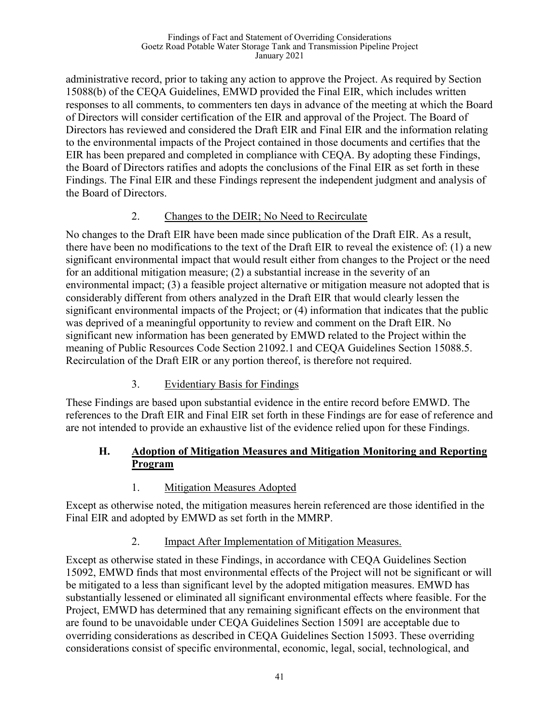administrative record, prior to taking any action to approve the Project. As required by Section 15088(b) of the CEQA Guidelines, EMWD provided the Final EIR, which includes written responses to all comments, to commenters ten days in advance of the meeting at which the Board of Directors will consider certification of the EIR and approval of the Project. The Board of Directors has reviewed and considered the Draft EIR and Final EIR and the information relating to the environmental impacts of the Project contained in those documents and certifies that the EIR has been prepared and completed in compliance with CEQA. By adopting these Findings, the Board of Directors ratifies and adopts the conclusions of the Final EIR as set forth in these Findings. The Final EIR and these Findings represent the independent judgment and analysis of the Board of Directors.

## 2. Changes to the DEIR; No Need to Recirculate

No changes to the Draft EIR have been made since publication of the Draft EIR. As a result, there have been no modifications to the text of the Draft EIR to reveal the existence of: (1) a new significant environmental impact that would result either from changes to the Project or the need for an additional mitigation measure; (2) a substantial increase in the severity of an environmental impact; (3) a feasible project alternative or mitigation measure not adopted that is considerably different from others analyzed in the Draft EIR that would clearly lessen the significant environmental impacts of the Project; or (4) information that indicates that the public was deprived of a meaningful opportunity to review and comment on the Draft EIR. No significant new information has been generated by EMWD related to the Project within the meaning of Public Resources Code Section 21092.1 and CEQA Guidelines Section 15088.5. Recirculation of the Draft EIR or any portion thereof, is therefore not required.

# 3. Evidentiary Basis for Findings

These Findings are based upon substantial evidence in the entire record before EMWD. The references to the Draft EIR and Final EIR set forth in these Findings are for ease of reference and are not intended to provide an exhaustive list of the evidence relied upon for these Findings.

## **H. Adoption of Mitigation Measures and Mitigation Monitoring and Reporting Program**

# 1. Mitigation Measures Adopted

Except as otherwise noted, the mitigation measures herein referenced are those identified in the Final EIR and adopted by EMWD as set forth in the MMRP.

# 2. Impact After Implementation of Mitigation Measures.

Except as otherwise stated in these Findings, in accordance with CEQA Guidelines Section 15092, EMWD finds that most environmental effects of the Project will not be significant or will be mitigated to a less than significant level by the adopted mitigation measures. EMWD has substantially lessened or eliminated all significant environmental effects where feasible. For the Project, EMWD has determined that any remaining significant effects on the environment that are found to be unavoidable under CEQA Guidelines Section 15091 are acceptable due to overriding considerations as described in CEQA Guidelines Section 15093. These overriding considerations consist of specific environmental, economic, legal, social, technological, and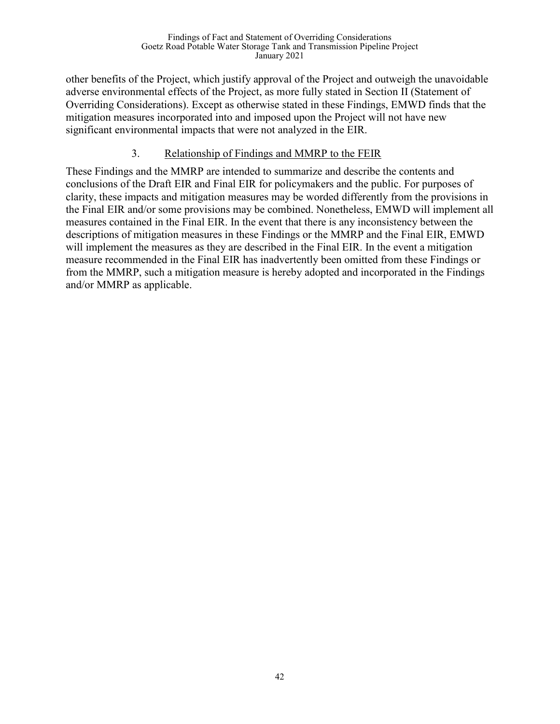other benefits of the Project, which justify approval of the Project and outweigh the unavoidable adverse environmental effects of the Project, as more fully stated in Section II (Statement of Overriding Considerations). Except as otherwise stated in these Findings, EMWD finds that the mitigation measures incorporated into and imposed upon the Project will not have new significant environmental impacts that were not analyzed in the EIR.

## 3. Relationship of Findings and MMRP to the FEIR

These Findings and the MMRP are intended to summarize and describe the contents and conclusions of the Draft EIR and Final EIR for policymakers and the public. For purposes of clarity, these impacts and mitigation measures may be worded differently from the provisions in the Final EIR and/or some provisions may be combined. Nonetheless, EMWD will implement all measures contained in the Final EIR. In the event that there is any inconsistency between the descriptions of mitigation measures in these Findings or the MMRP and the Final EIR, EMWD will implement the measures as they are described in the Final EIR. In the event a mitigation measure recommended in the Final EIR has inadvertently been omitted from these Findings or from the MMRP, such a mitigation measure is hereby adopted and incorporated in the Findings and/or MMRP as applicable.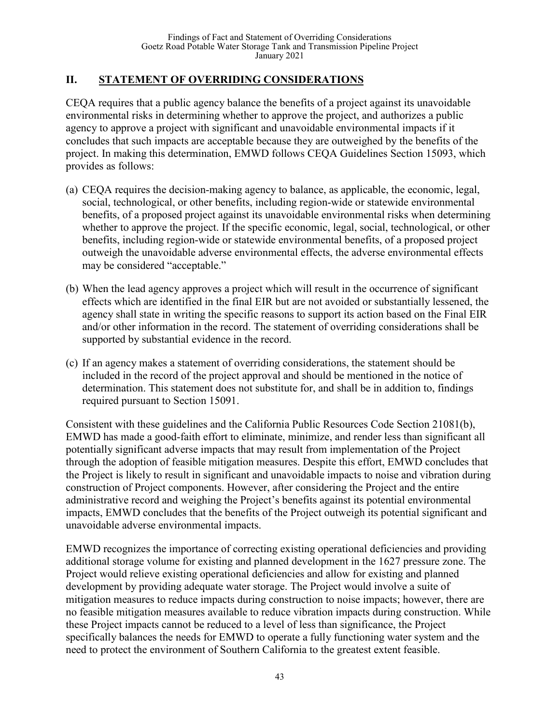# **II. STATEMENT OF OVERRIDING CONSIDERATIONS**

CEQA requires that a public agency balance the benefits of a project against its unavoidable environmental risks in determining whether to approve the project, and authorizes a public agency to approve a project with significant and unavoidable environmental impacts if it concludes that such impacts are acceptable because they are outweighed by the benefits of the project. In making this determination, EMWD follows CEQA Guidelines Section 15093, which provides as follows:

- (a) CEQA requires the decision-making agency to balance, as applicable, the economic, legal, social, technological, or other benefits, including region-wide or statewide environmental benefits, of a proposed project against its unavoidable environmental risks when determining whether to approve the project. If the specific economic, legal, social, technological, or other benefits, including region-wide or statewide environmental benefits, of a proposed project outweigh the unavoidable adverse environmental effects, the adverse environmental effects may be considered "acceptable."
- (b) When the lead agency approves a project which will result in the occurrence of significant effects which are identified in the final EIR but are not avoided or substantially lessened, the agency shall state in writing the specific reasons to support its action based on the Final EIR and/or other information in the record. The statement of overriding considerations shall be supported by substantial evidence in the record.
- (c) If an agency makes a statement of overriding considerations, the statement should be included in the record of the project approval and should be mentioned in the notice of determination. This statement does not substitute for, and shall be in addition to, findings required pursuant to Section 15091.

Consistent with these guidelines and the California Public Resources Code Section 21081(b), EMWD has made a good-faith effort to eliminate, minimize, and render less than significant all potentially significant adverse impacts that may result from implementation of the Project through the adoption of feasible mitigation measures. Despite this effort, EMWD concludes that the Project is likely to result in significant and unavoidable impacts to noise and vibration during construction of Project components. However, after considering the Project and the entire administrative record and weighing the Project's benefits against its potential environmental impacts, EMWD concludes that the benefits of the Project outweigh its potential significant and unavoidable adverse environmental impacts.

EMWD recognizes the importance of correcting existing operational deficiencies and providing additional storage volume for existing and planned development in the 1627 pressure zone. The Project would relieve existing operational deficiencies and allow for existing and planned development by providing adequate water storage. The Project would involve a suite of mitigation measures to reduce impacts during construction to noise impacts; however, there are no feasible mitigation measures available to reduce vibration impacts during construction. While these Project impacts cannot be reduced to a level of less than significance, the Project specifically balances the needs for EMWD to operate a fully functioning water system and the need to protect the environment of Southern California to the greatest extent feasible.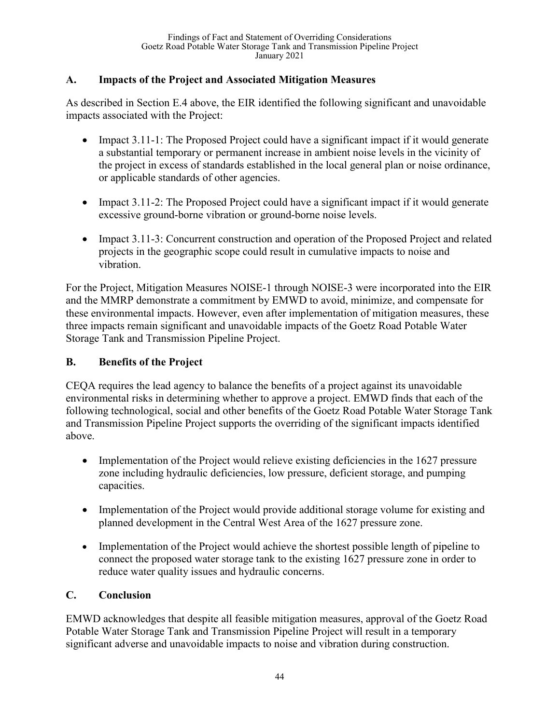## **A. Impacts of the Project and Associated Mitigation Measures**

As described in Section E.4 above, the EIR identified the following significant and unavoidable impacts associated with the Project:

- Impact 3.11-1: The Proposed Project could have a significant impact if it would generate a substantial temporary or permanent increase in ambient noise levels in the vicinity of the project in excess of standards established in the local general plan or noise ordinance, or applicable standards of other agencies.
- Impact  $3.11$ -2: The Proposed Project could have a significant impact if it would generate excessive ground-borne vibration or ground-borne noise levels.
- Impact 3.11-3: Concurrent construction and operation of the Proposed Project and related projects in the geographic scope could result in cumulative impacts to noise and vibration.

For the Project, Mitigation Measures NOISE-1 through NOISE-3 were incorporated into the EIR and the MMRP demonstrate a commitment by EMWD to avoid, minimize, and compensate for these environmental impacts. However, even after implementation of mitigation measures, these three impacts remain significant and unavoidable impacts of the Goetz Road Potable Water Storage Tank and Transmission Pipeline Project.

## **B. Benefits of the Project**

CEQA requires the lead agency to balance the benefits of a project against its unavoidable environmental risks in determining whether to approve a project. EMWD finds that each of the following technological, social and other benefits of the Goetz Road Potable Water Storage Tank and Transmission Pipeline Project supports the overriding of the significant impacts identified above.

- Implementation of the Project would relieve existing deficiencies in the 1627 pressure zone including hydraulic deficiencies, low pressure, deficient storage, and pumping capacities.
- Implementation of the Project would provide additional storage volume for existing and planned development in the Central West Area of the 1627 pressure zone.
- Implementation of the Project would achieve the shortest possible length of pipeline to connect the proposed water storage tank to the existing 1627 pressure zone in order to reduce water quality issues and hydraulic concerns.

# **C. Conclusion**

EMWD acknowledges that despite all feasible mitigation measures, approval of the Goetz Road Potable Water Storage Tank and Transmission Pipeline Project will result in a temporary significant adverse and unavoidable impacts to noise and vibration during construction.